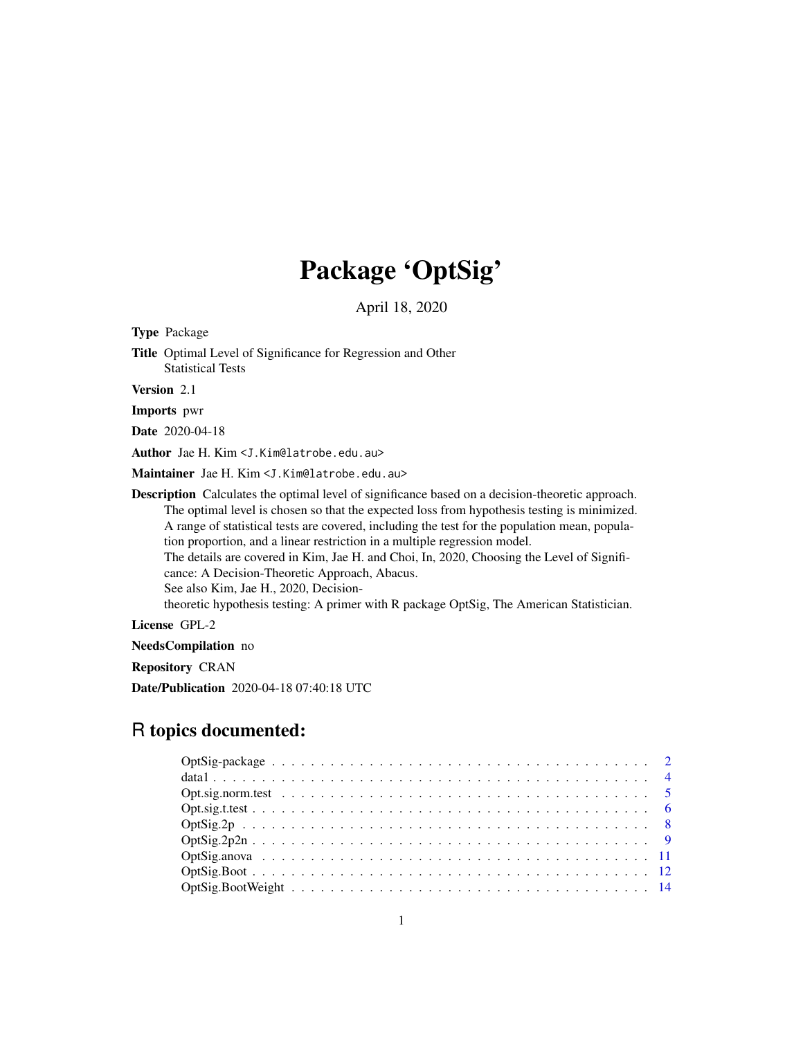## Package 'OptSig'

April 18, 2020

Type Package Title Optimal Level of Significance for Regression and Other Statistical Tests Version 2.1 Imports pwr Date 2020-04-18 Author Jae H. Kim <J.Kim@latrobe.edu.au> Maintainer Jae H. Kim <J.Kim@latrobe.edu.au> Description Calculates the optimal level of significance based on a decision-theoretic approach. The optimal level is chosen so that the expected loss from hypothesis testing is minimized. A range of statistical tests are covered, including the test for the population mean, population proportion, and a linear restriction in a multiple regression model. The details are covered in Kim, Jae H. and Choi, In, 2020, Choosing the Level of Significance: A Decision-Theoretic Approach, Abacus. See also Kim, Jae H., 2020, Decisiontheoretic hypothesis testing: A primer with R package OptSig, The American Statistician.

License GPL-2

NeedsCompilation no

Repository CRAN

Date/Publication 2020-04-18 07:40:18 UTC

### R topics documented:

| $OptSig. 2p2n \ldots \ldots \ldots \ldots \ldots \ldots \ldots \ldots \ldots \ldots \ldots \ldots$ |  |  |  |  |  |  |  |  |  |  |  |  |  |  |  |  |  |  |  |
|----------------------------------------------------------------------------------------------------|--|--|--|--|--|--|--|--|--|--|--|--|--|--|--|--|--|--|--|
|                                                                                                    |  |  |  |  |  |  |  |  |  |  |  |  |  |  |  |  |  |  |  |
|                                                                                                    |  |  |  |  |  |  |  |  |  |  |  |  |  |  |  |  |  |  |  |
|                                                                                                    |  |  |  |  |  |  |  |  |  |  |  |  |  |  |  |  |  |  |  |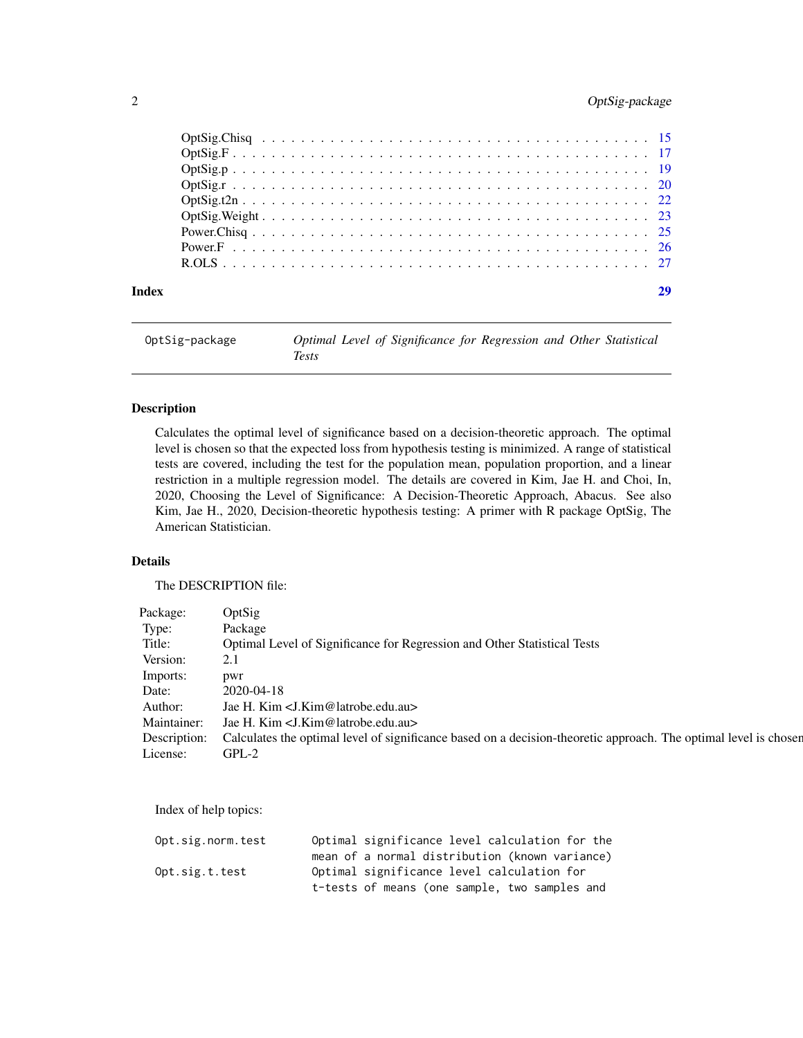### <span id="page-1-0"></span>2 OptSig-package

| Index |  |
|-------|--|
|       |  |
|       |  |
|       |  |
|       |  |
|       |  |
|       |  |
|       |  |
|       |  |
|       |  |

| OptSig-package | Optimal Level of Significance for Regression and Other Statistical |
|----------------|--------------------------------------------------------------------|
|                | Tests                                                              |

#### Description

Calculates the optimal level of significance based on a decision-theoretic approach. The optimal level is chosen so that the expected loss from hypothesis testing is minimized. A range of statistical tests are covered, including the test for the population mean, population proportion, and a linear restriction in a multiple regression model. The details are covered in Kim, Jae H. and Choi, In, 2020, Choosing the Level of Significance: A Decision-Theoretic Approach, Abacus. See also Kim, Jae H., 2020, Decision-theoretic hypothesis testing: A primer with R package OptSig, The American Statistician.

### Details

The DESCRIPTION file:

| Package: OptSig |                                                                                                                               |
|-----------------|-------------------------------------------------------------------------------------------------------------------------------|
| Type:           | Package                                                                                                                       |
| Title:          | Optimal Level of Significance for Regression and Other Statistical Tests                                                      |
| Version: 2.1    |                                                                                                                               |
| Imports: pwr    |                                                                                                                               |
|                 | Date: 2020-04-18                                                                                                              |
|                 | Author: Jae H. Kim <j. kim@latrobe.edu.au=""></j.>                                                                            |
|                 | Maintainer: Jae H. Kim <j. @latrobe.edu.au="" kim=""></j.>                                                                    |
|                 | Description: Calculates the optimal level of significance based on a decision-theoretic approach. The optimal level is chosen |
| License: GPL-2  |                                                                                                                               |

Index of help topics:

| Opt.sig.norm.test | Optimal significance level calculation for the |
|-------------------|------------------------------------------------|
|                   | mean of a normal distribution (known variance) |
| Opt.sig.t.test    | Optimal significance level calculation for     |
|                   | t-tests of means (one sample, two samples and  |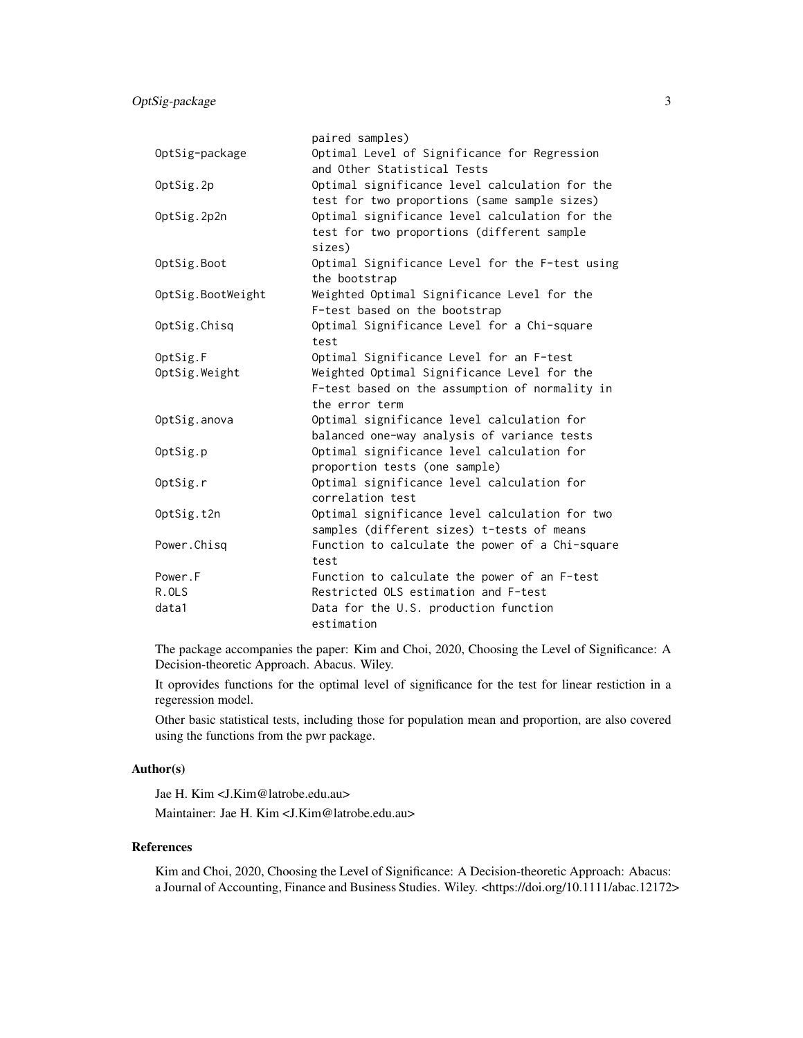|                   | paired samples)                                                                                                 |
|-------------------|-----------------------------------------------------------------------------------------------------------------|
| OptSig-package    | Optimal Level of Significance for Regression<br>and Other Statistical Tests                                     |
| OptSig.2p         | Optimal significance level calculation for the<br>test for two proportions (same sample sizes)                  |
| OptSig.2p2n       | Optimal significance level calculation for the<br>test for two proportions (different sample<br>sizes)          |
| OptSig.Boot       | Optimal Significance Level for the F-test using<br>the bootstrap                                                |
| OptSig.BootWeight | Weighted Optimal Significance Level for the<br>F-test based on the bootstrap                                    |
| OptSig.Chisq      | Optimal Significance Level for a Chi-square<br>test                                                             |
| OptSig.F          | Optimal Significance Level for an F-test                                                                        |
| OptSig.Weight     | Weighted Optimal Significance Level for the<br>F-test based on the assumption of normality in<br>the error term |
| OptSig.anova      | Optimal significance level calculation for<br>balanced one-way analysis of variance tests                       |
| OptSig.p          | Optimal significance level calculation for<br>proportion tests (one sample)                                     |
| OptSig.r          | Optimal significance level calculation for<br>correlation test                                                  |
| OptSig.t2n        | Optimal significance level calculation for two<br>samples (different sizes) t-tests of means                    |
| Power.Chisq       | Function to calculate the power of a Chi-square<br>test                                                         |
| Power.F           | Function to calculate the power of an F-test                                                                    |
| R.OLS             | Restricted OLS estimation and F-test                                                                            |
| data1             | Data for the U.S. production function<br>estimation                                                             |

The package accompanies the paper: Kim and Choi, 2020, Choosing the Level of Significance: A Decision-theoretic Approach. Abacus. Wiley.

It oprovides functions for the optimal level of significance for the test for linear restiction in a regeression model.

Other basic statistical tests, including those for population mean and proportion, are also covered using the functions from the pwr package.

#### Author(s)

Jae H. Kim <J.Kim@latrobe.edu.au> Maintainer: Jae H. Kim <J.Kim@latrobe.edu.au>

#### References

Kim and Choi, 2020, Choosing the Level of Significance: A Decision-theoretic Approach: Abacus: a Journal of Accounting, Finance and Business Studies. Wiley. <https://doi.org/10.1111/abac.12172>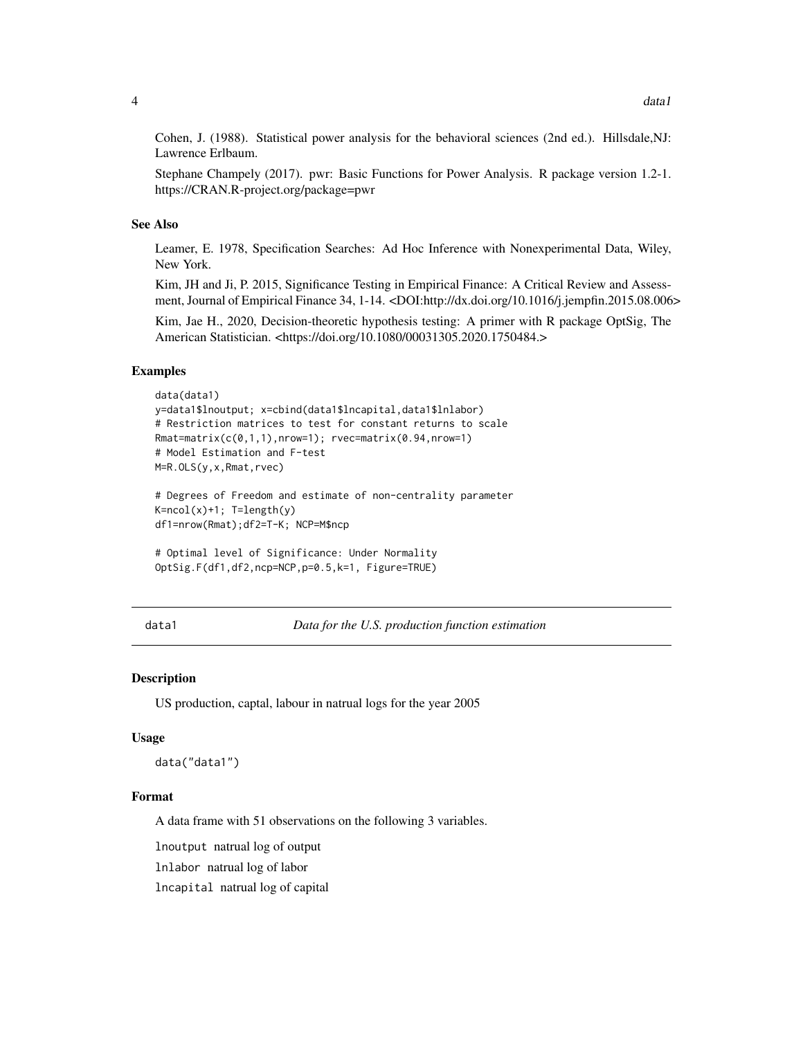<span id="page-3-0"></span>Cohen, J. (1988). Statistical power analysis for the behavioral sciences (2nd ed.). Hillsdale,NJ: Lawrence Erlbaum.

Stephane Champely (2017). pwr: Basic Functions for Power Analysis. R package version 1.2-1. https://CRAN.R-project.org/package=pwr

#### See Also

Leamer, E. 1978, Specification Searches: Ad Hoc Inference with Nonexperimental Data, Wiley, New York.

Kim, JH and Ji, P. 2015, Significance Testing in Empirical Finance: A Critical Review and Assessment, Journal of Empirical Finance 34, 1-14. <DOI:http://dx.doi.org/10.1016/j.jempfin.2015.08.006>

Kim, Jae H., 2020, Decision-theoretic hypothesis testing: A primer with R package OptSig, The American Statistician. <https://doi.org/10.1080/00031305.2020.1750484.>

#### Examples

```
data(data1)
y=data1$lnoutput; x=cbind(data1$lncapital,data1$lnlabor)
# Restriction matrices to test for constant returns to scale
Rmat=matrix(c(0,1,1),nrow=1); rvec=matrix(0.94,nrow=1)
# Model Estimation and F-test
M=R.OLS(y,x,Rmat,rvec)
# Degrees of Freedom and estimate of non-centrality parameter
K=ncol(x)+1; T=length(y)
df1=nrow(Rmat);df2=T-K; NCP=M$ncp
```

```
# Optimal level of Significance: Under Normality
OptSig.F(df1,df2,ncp=NCP,p=0.5,k=1, Figure=TRUE)
```
data1 *Data for the U.S. production function estimation*

#### Description

US production, captal, labour in natrual logs for the year 2005

#### Usage

data("data1")

#### Format

A data frame with 51 observations on the following 3 variables.

lnoutput natrual log of output

lnlabor natrual log of labor

lncapital natrual log of capital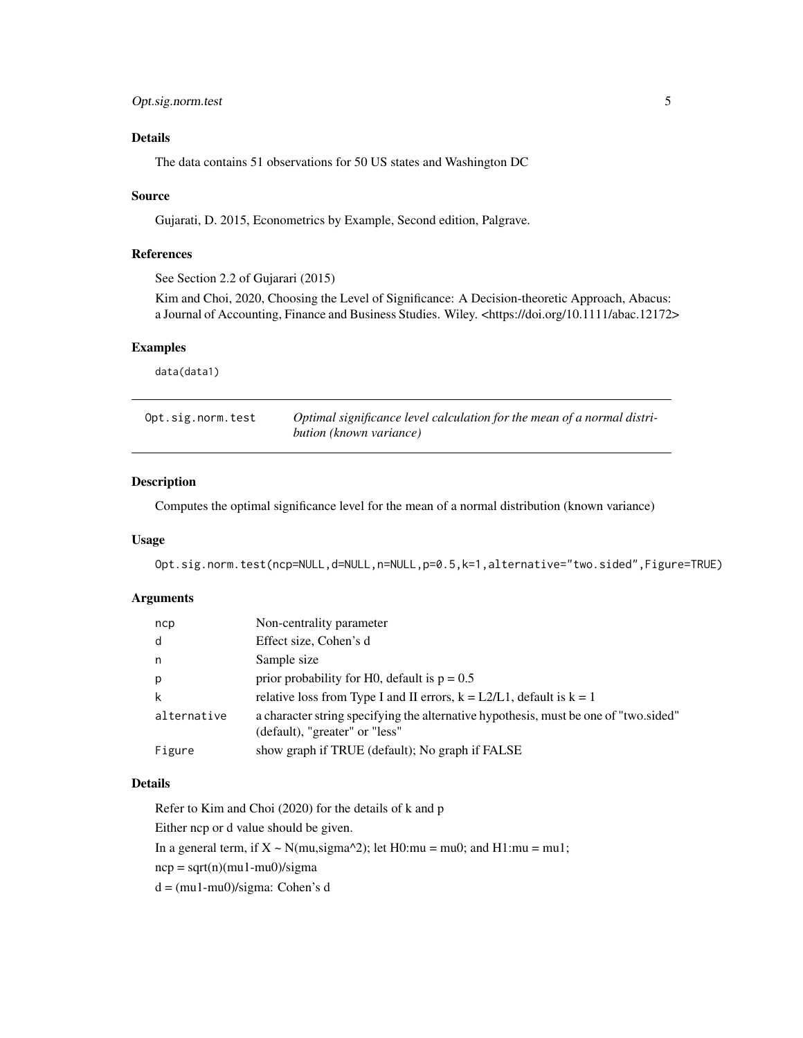#### <span id="page-4-0"></span>Details

The data contains 51 observations for 50 US states and Washington DC

#### Source

Gujarati, D. 2015, Econometrics by Example, Second edition, Palgrave.

#### References

See Section 2.2 of Gujarari (2015)

Kim and Choi, 2020, Choosing the Level of Significance: A Decision-theoretic Approach, Abacus: a Journal of Accounting, Finance and Business Studies. Wiley. <https://doi.org/10.1111/abac.12172>

#### Examples

data(data1)

| Opt.sig.norm.test | Optimal significance level calculation for the mean of a normal distri- |
|-------------------|-------------------------------------------------------------------------|
|                   | bution (known variance)                                                 |

#### Description

Computes the optimal significance level for the mean of a normal distribution (known variance)

#### Usage

Opt.sig.norm.test(ncp=NULL,d=NULL,n=NULL,p=0.5,k=1,alternative="two.sided",Figure=TRUE)

#### Arguments

| ncp         | Non-centrality parameter                                                                                               |
|-------------|------------------------------------------------------------------------------------------------------------------------|
| d           | Effect size, Cohen's d                                                                                                 |
| n           | Sample size                                                                                                            |
| p           | prior probability for H0, default is $p = 0.5$                                                                         |
| k           | relative loss from Type I and II errors, $k = L2/L1$ , default is $k = 1$                                              |
| alternative | a character string specifying the alternative hypothesis, must be one of "two sided"<br>(default), "greater" or "less" |
| Figure      | show graph if TRUE (default); No graph if FALSE                                                                        |

#### Details

Refer to Kim and Choi (2020) for the details of k and p

Either ncp or d value should be given.

In a general term, if  $X \sim N(mu, sigma^2)$ ; let H0:mu = mu0; and H1:mu = mu1;

 $ncp = sqrt(n)(mu1-mu0)/sigma$ 

d = (mu1-mu0)/sigma: Cohen's d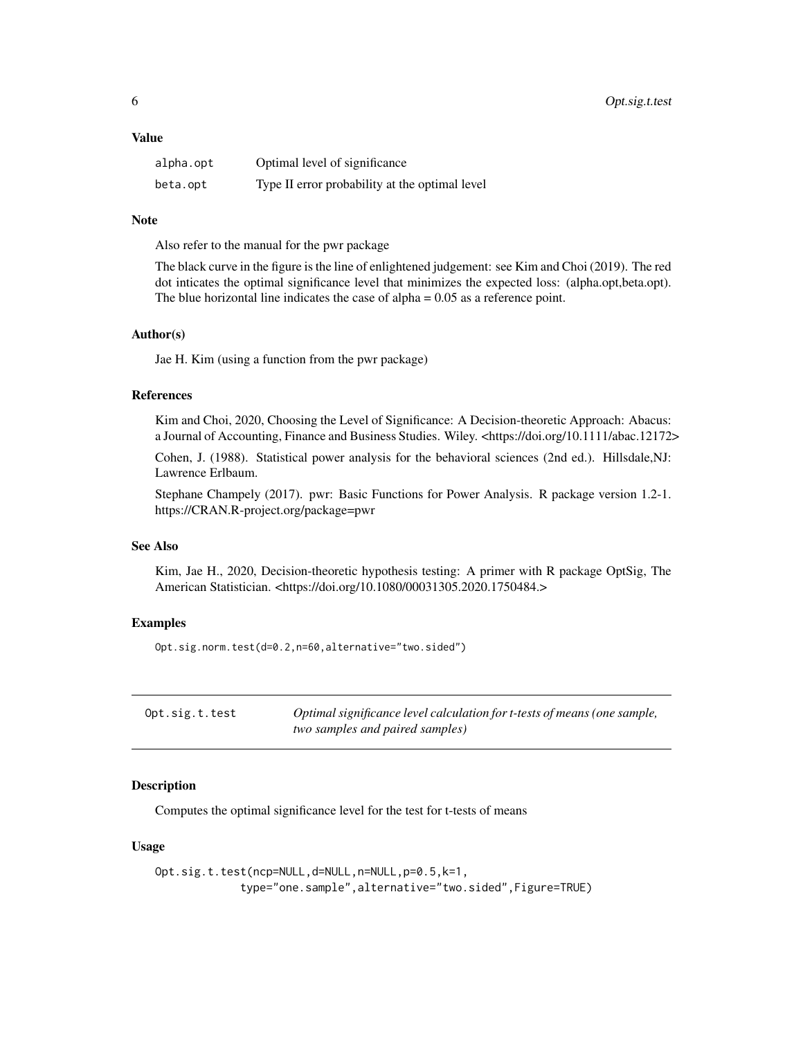#### <span id="page-5-0"></span>Value

| alpha.opt | Optimal level of significance                  |
|-----------|------------------------------------------------|
| beta.opt  | Type II error probability at the optimal level |

#### **Note**

Also refer to the manual for the pwr package

The black curve in the figure is the line of enlightened judgement: see Kim and Choi (2019). The red dot inticates the optimal significance level that minimizes the expected loss: (alpha.opt,beta.opt). The blue horizontal line indicates the case of alpha  $= 0.05$  as a reference point.

#### Author(s)

Jae H. Kim (using a function from the pwr package)

#### References

Kim and Choi, 2020, Choosing the Level of Significance: A Decision-theoretic Approach: Abacus: a Journal of Accounting, Finance and Business Studies. Wiley. <https://doi.org/10.1111/abac.12172>

Cohen, J. (1988). Statistical power analysis for the behavioral sciences (2nd ed.). Hillsdale,NJ: Lawrence Erlbaum.

Stephane Champely (2017). pwr: Basic Functions for Power Analysis. R package version 1.2-1. https://CRAN.R-project.org/package=pwr

#### See Also

Kim, Jae H., 2020, Decision-theoretic hypothesis testing: A primer with R package OptSig, The American Statistician. <https://doi.org/10.1080/00031305.2020.1750484.>

#### Examples

Opt.sig.norm.test(d=0.2,n=60,alternative="two.sided")

| Opt.sig.t.test | Optimal significance level calculation for t-tests of means (one sample, |
|----------------|--------------------------------------------------------------------------|
|                | two samples and paired samples)                                          |

#### Description

Computes the optimal significance level for the test for t-tests of means

#### Usage

Opt.sig.t.test(ncp=NULL,d=NULL,n=NULL,p=0.5,k=1, type="one.sample",alternative="two.sided",Figure=TRUE)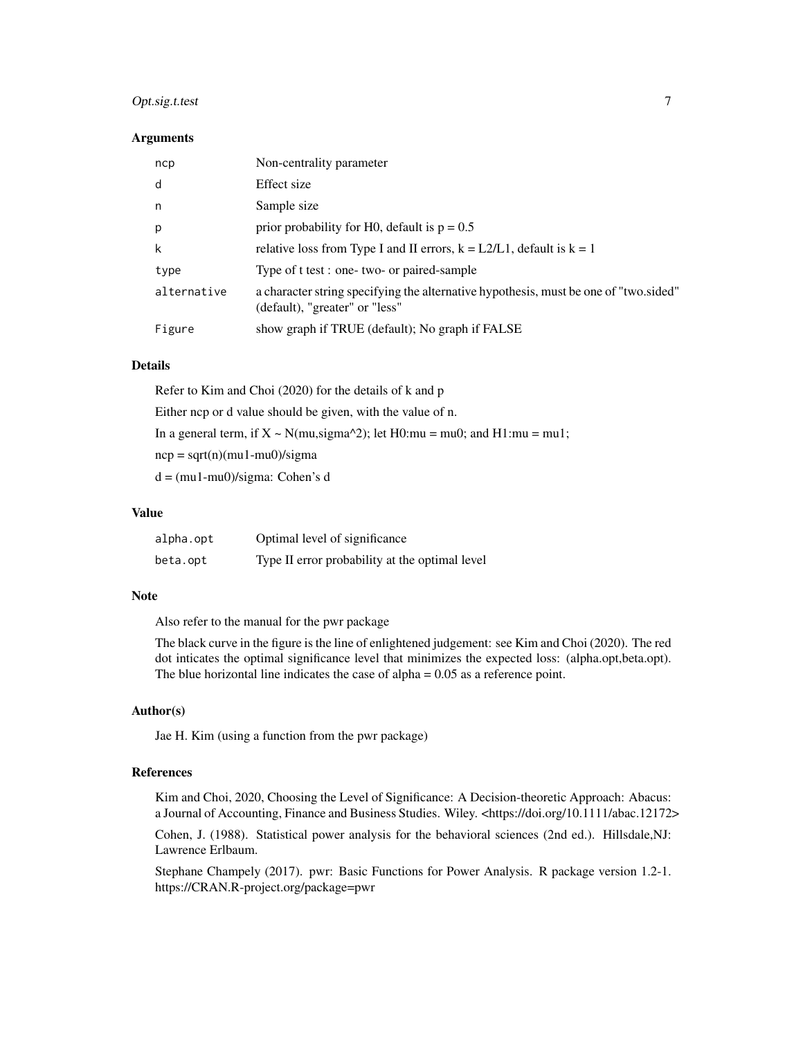#### Opt.sig.t.test 7

#### **Arguments**

| ncp         | Non-centrality parameter                                                                                               |
|-------------|------------------------------------------------------------------------------------------------------------------------|
| d           | Effect size                                                                                                            |
| n           | Sample size                                                                                                            |
| p           | prior probability for H0, default is $p = 0.5$                                                                         |
| k           | relative loss from Type I and II errors, $k = L2/L1$ , default is $k = 1$                                              |
| type        | Type of t test : one- two- or paired-sample                                                                            |
| alternative | a character string specifying the alternative hypothesis, must be one of "two sided"<br>(default), "greater" or "less" |
| Figure      | show graph if TRUE (default); No graph if FALSE                                                                        |

#### Details

Refer to Kim and Choi (2020) for the details of k and p Either ncp or d value should be given, with the value of n. In a general term, if  $X \sim N(mu,sigma^2)$ ; let H0:mu = mu0; and H1:mu = mu1;  $ncp = sqrt(n)(mu1-mu0)/sigma$ d = (mu1-mu0)/sigma: Cohen's d

#### Value

| alpha.opt | Optimal level of significance                  |
|-----------|------------------------------------------------|
| beta.opt  | Type II error probability at the optimal level |

#### Note

Also refer to the manual for the pwr package

The black curve in the figure is the line of enlightened judgement: see Kim and Choi (2020). The red dot inticates the optimal significance level that minimizes the expected loss: (alpha.opt,beta.opt). The blue horizontal line indicates the case of alpha  $= 0.05$  as a reference point.

#### Author(s)

Jae H. Kim (using a function from the pwr package)

#### References

Kim and Choi, 2020, Choosing the Level of Significance: A Decision-theoretic Approach: Abacus: a Journal of Accounting, Finance and Business Studies. Wiley. <https://doi.org/10.1111/abac.12172>

Cohen, J. (1988). Statistical power analysis for the behavioral sciences (2nd ed.). Hillsdale,NJ: Lawrence Erlbaum.

Stephane Champely (2017). pwr: Basic Functions for Power Analysis. R package version 1.2-1. https://CRAN.R-project.org/package=pwr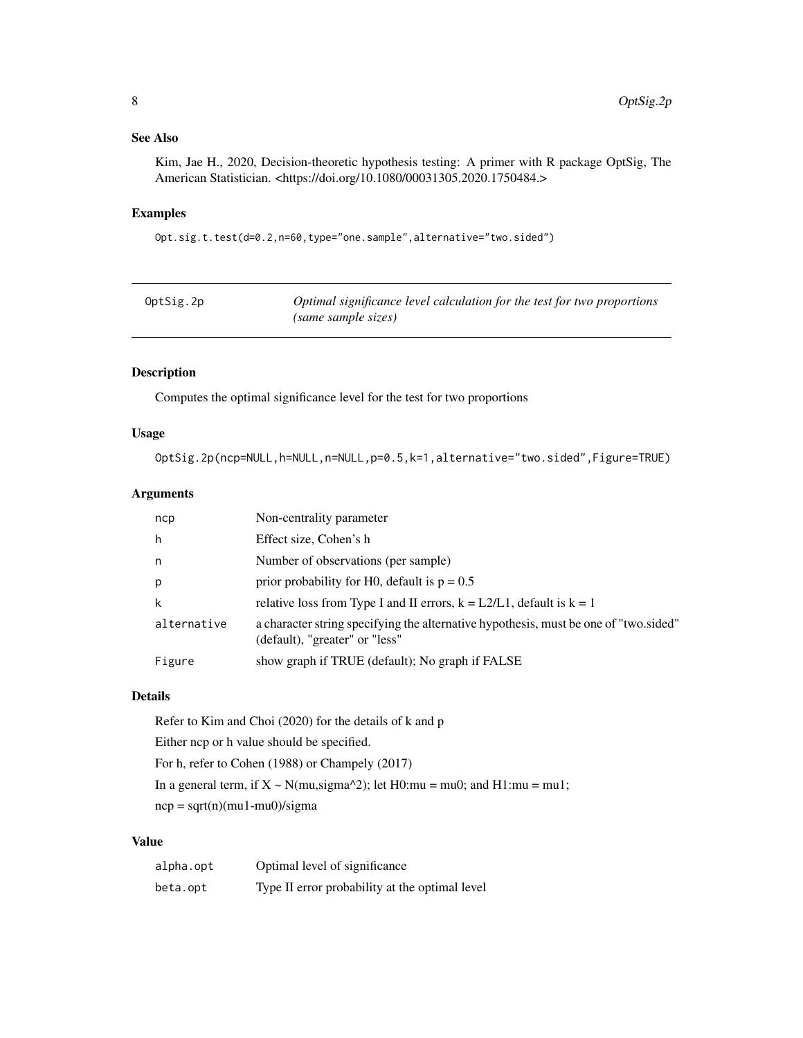#### <span id="page-7-0"></span>See Also

Kim, Jae H., 2020, Decision-theoretic hypothesis testing: A primer with R package OptSig, The American Statistician. <https://doi.org/10.1080/00031305.2020.1750484.>

#### Examples

Opt.sig.t.test(d=0.2,n=60,type="one.sample",alternative="two.sided")

| OptSig.2p | Optimal significance level calculation for the test for two proportions |
|-----------|-------------------------------------------------------------------------|
|           | (same sample sizes)                                                     |

#### Description

Computes the optimal significance level for the test for two proportions

#### Usage

OptSig.2p(ncp=NULL,h=NULL,n=NULL,p=0.5,k=1,alternative="two.sided",Figure=TRUE)

#### Arguments

| ncp         | Non-centrality parameter                                                                                               |
|-------------|------------------------------------------------------------------------------------------------------------------------|
| h           | Effect size, Cohen's h                                                                                                 |
| n.          | Number of observations (per sample)                                                                                    |
| p           | prior probability for H0, default is $p = 0.5$                                                                         |
| k           | relative loss from Type I and II errors, $k = L2/L1$ , default is $k = 1$                                              |
| alternative | a character string specifying the alternative hypothesis, must be one of "two sided"<br>(default), "greater" or "less" |
| Figure      | show graph if TRUE (default); No graph if FALSE                                                                        |

#### Details

Refer to Kim and Choi (2020) for the details of k and p Either ncp or h value should be specified. For h, refer to Cohen (1988) or Champely (2017) In a general term, if  $X \sim N(mu,sigma^2)$ ; let H0:mu = mu0; and H1:mu = mu1;  $ncp = sqrt(n)(mu1-mu0)/sigma$ 

#### Value

| alpha.opt | Optimal level of significance                  |
|-----------|------------------------------------------------|
| beta.opt  | Type II error probability at the optimal level |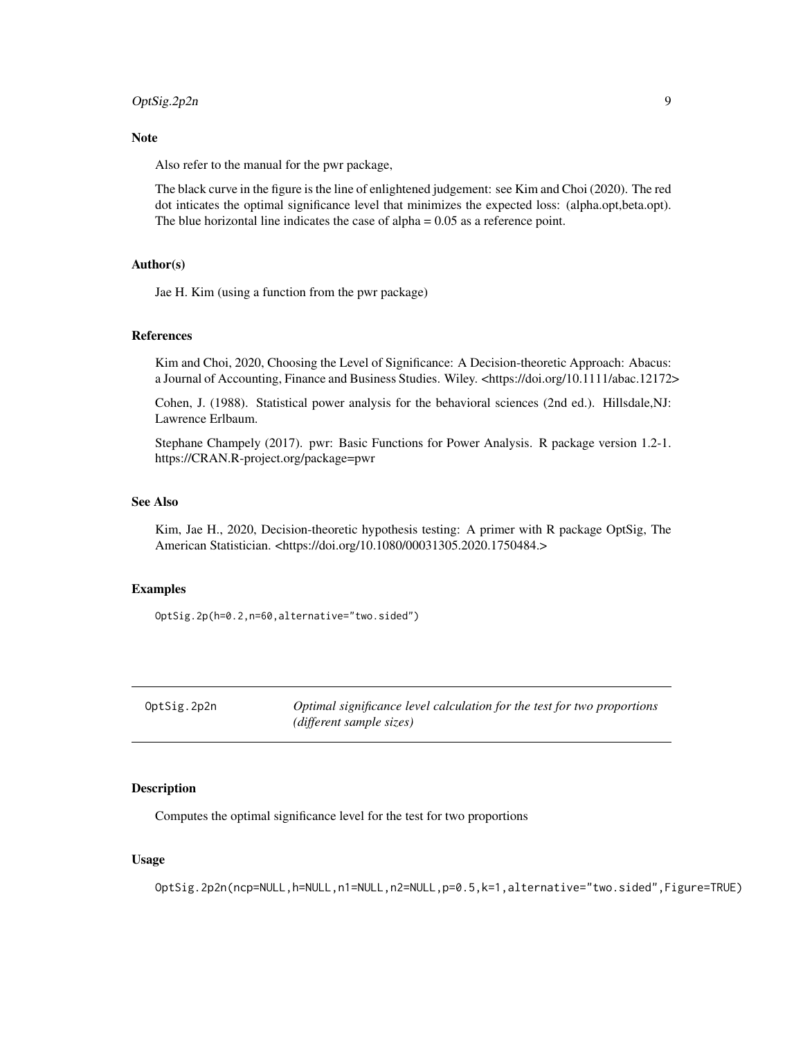#### <span id="page-8-0"></span>OptSig.2p2n 9

#### Note

Also refer to the manual for the pwr package,

The black curve in the figure is the line of enlightened judgement: see Kim and Choi (2020). The red dot inticates the optimal significance level that minimizes the expected loss: (alpha.opt,beta.opt). The blue horizontal line indicates the case of alpha = 0.05 as a reference point.

#### Author(s)

Jae H. Kim (using a function from the pwr package)

#### References

Kim and Choi, 2020, Choosing the Level of Significance: A Decision-theoretic Approach: Abacus: a Journal of Accounting, Finance and Business Studies. Wiley. <https://doi.org/10.1111/abac.12172>

Cohen, J. (1988). Statistical power analysis for the behavioral sciences (2nd ed.). Hillsdale,NJ: Lawrence Erlbaum.

Stephane Champely (2017). pwr: Basic Functions for Power Analysis. R package version 1.2-1. https://CRAN.R-project.org/package=pwr

#### See Also

Kim, Jae H., 2020, Decision-theoretic hypothesis testing: A primer with R package OptSig, The American Statistician. <https://doi.org/10.1080/00031305.2020.1750484.>

#### Examples

OptSig.2p(h=0.2,n=60,alternative="two.sided")

| OptSig.2p2n | Optimal significance level calculation for the test for two proportions |
|-------------|-------------------------------------------------------------------------|
|             | (different sample sizes)                                                |

#### Description

Computes the optimal significance level for the test for two proportions

#### Usage

OptSig.2p2n(ncp=NULL,h=NULL,n1=NULL,n2=NULL,p=0.5,k=1,alternative="two.sided",Figure=TRUE)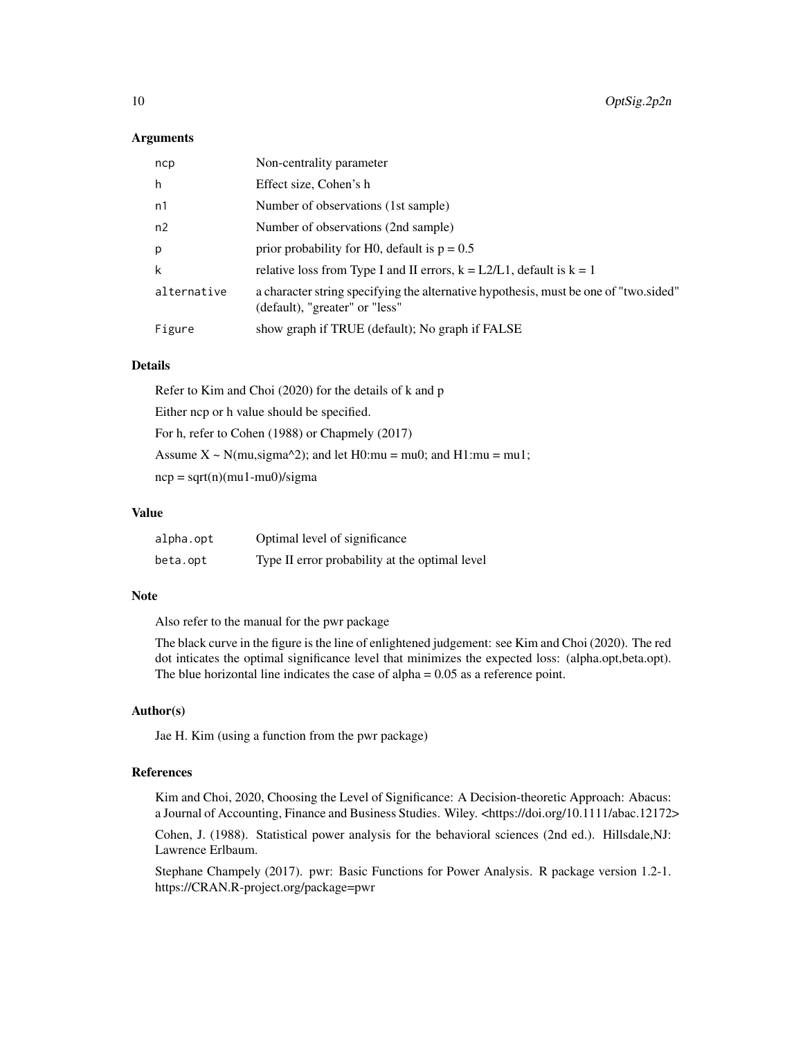#### Arguments

| ncp         | Non-centrality parameter                                                                                               |
|-------------|------------------------------------------------------------------------------------------------------------------------|
| h           | Effect size, Cohen's h                                                                                                 |
| n1          | Number of observations (1st sample)                                                                                    |
| n2          | Number of observations (2nd sample)                                                                                    |
| p           | prior probability for H0, default is $p = 0.5$                                                                         |
| k           | relative loss from Type I and II errors, $k = L2/L1$ , default is $k = 1$                                              |
| alternative | a character string specifying the alternative hypothesis, must be one of "two.sided"<br>(default), "greater" or "less" |
| Figure      | show graph if TRUE (default); No graph if FALSE                                                                        |

#### Details

Refer to Kim and Choi (2020) for the details of k and p Either ncp or h value should be specified. For h, refer to Cohen (1988) or Chapmely (2017) Assume  $X \sim N(mu, sigma^2)$ ; and let H0:mu = mu0; and H1:mu = mu1;  $ncp = sqrt(n)(mu1-mu0)/sigma$ 

#### Value

| alpha.opt | Optimal level of significance                  |
|-----------|------------------------------------------------|
| beta.opt  | Type II error probability at the optimal level |

#### Note

Also refer to the manual for the pwr package

The black curve in the figure is the line of enlightened judgement: see Kim and Choi (2020). The red dot inticates the optimal significance level that minimizes the expected loss: (alpha.opt,beta.opt). The blue horizontal line indicates the case of alpha  $= 0.05$  as a reference point.

#### Author(s)

Jae H. Kim (using a function from the pwr package)

#### References

Kim and Choi, 2020, Choosing the Level of Significance: A Decision-theoretic Approach: Abacus: a Journal of Accounting, Finance and Business Studies. Wiley. <https://doi.org/10.1111/abac.12172>

Cohen, J. (1988). Statistical power analysis for the behavioral sciences (2nd ed.). Hillsdale,NJ: Lawrence Erlbaum.

Stephane Champely (2017). pwr: Basic Functions for Power Analysis. R package version 1.2-1. https://CRAN.R-project.org/package=pwr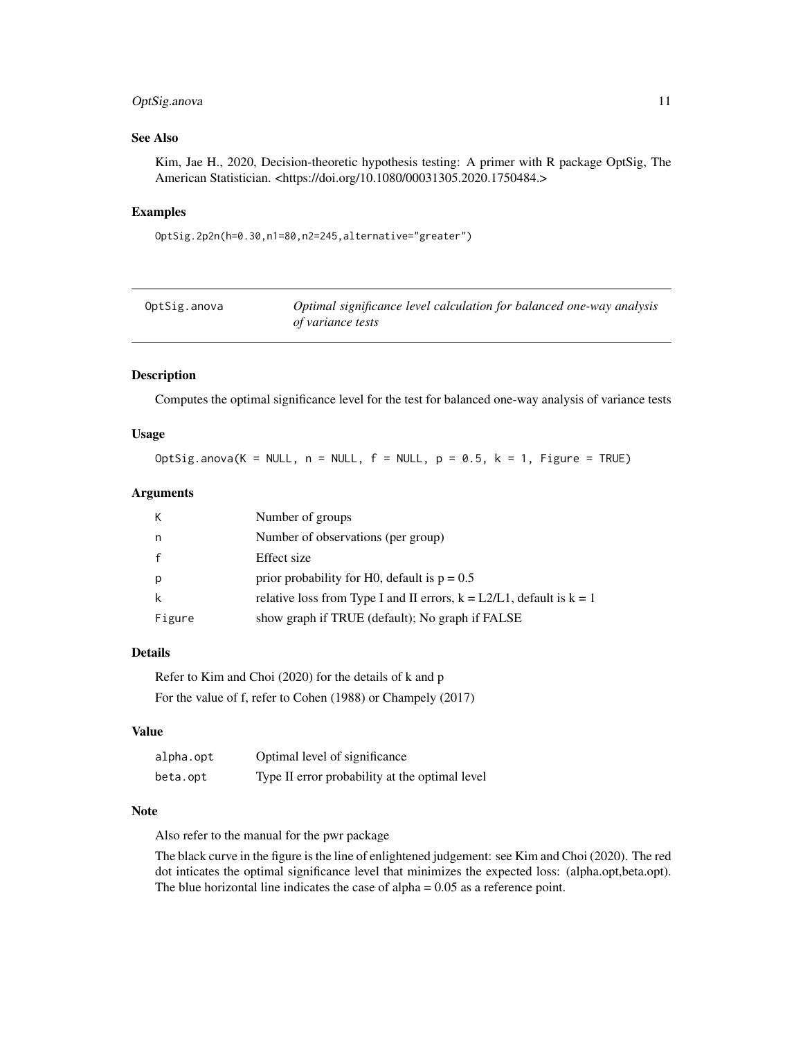#### <span id="page-10-0"></span>OptSig.anova 11

#### See Also

Kim, Jae H., 2020, Decision-theoretic hypothesis testing: A primer with R package OptSig, The American Statistician. <https://doi.org/10.1080/00031305.2020.1750484.>

#### Examples

```
OptSig.2p2n(h=0.30,n1=80,n2=245,alternative="greater")
```

| OptSig.anova | Optimal significance level calculation for balanced one-way analysis |
|--------------|----------------------------------------------------------------------|
|              | of variance tests                                                    |

#### Description

Computes the optimal significance level for the test for balanced one-way analysis of variance tests

#### Usage

OptSig.anova(K = NULL,  $n =$  NULL,  $f =$  NULL,  $p = 0.5$ ,  $k = 1$ , Figure = TRUE)

#### Arguments

| K      | Number of groups                                                          |
|--------|---------------------------------------------------------------------------|
| n.     | Number of observations (per group)                                        |
|        | Effect size                                                               |
| p      | prior probability for H0, default is $p = 0.5$                            |
|        | relative loss from Type I and II errors, $k = L2/L1$ , default is $k = 1$ |
| Figure | show graph if TRUE (default); No graph if FALSE                           |

#### Details

Refer to Kim and Choi (2020) for the details of k and p For the value of f, refer to Cohen (1988) or Champely (2017)

#### Value

| alpha.opt | Optimal level of significance                  |
|-----------|------------------------------------------------|
| beta.opt  | Type II error probability at the optimal level |

#### Note

Also refer to the manual for the pwr package

The black curve in the figure is the line of enlightened judgement: see Kim and Choi (2020). The red dot inticates the optimal significance level that minimizes the expected loss: (alpha.opt,beta.opt). The blue horizontal line indicates the case of alpha  $= 0.05$  as a reference point.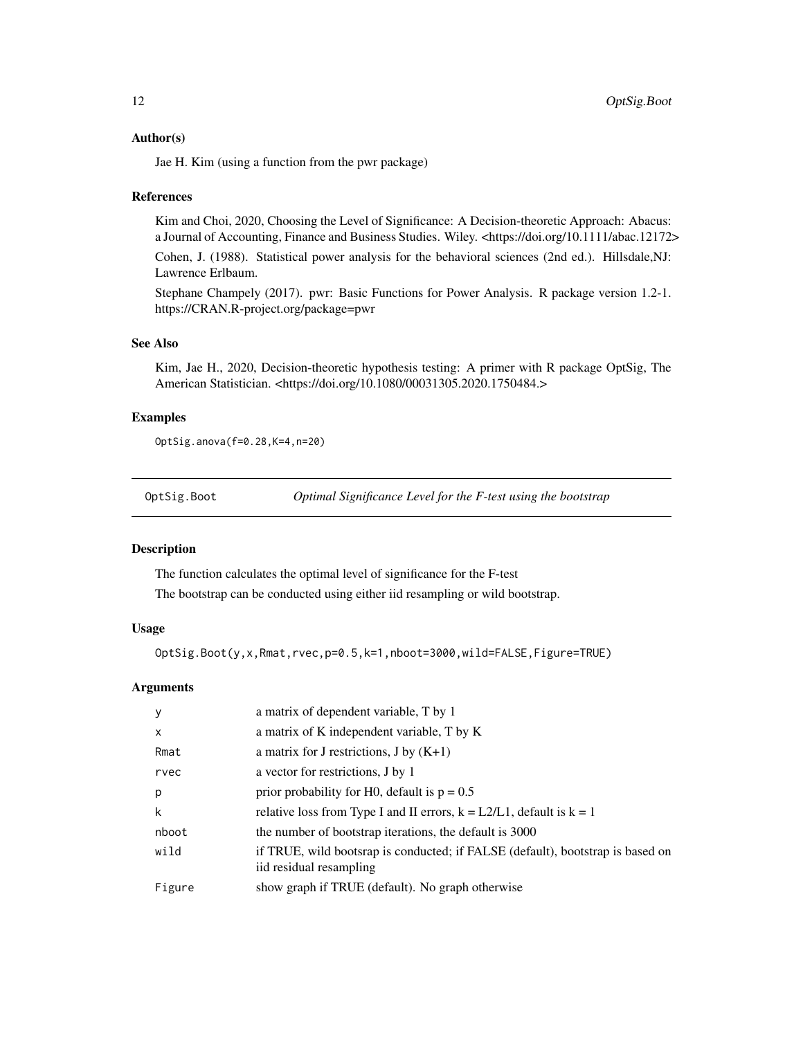#### <span id="page-11-0"></span>Author(s)

Jae H. Kim (using a function from the pwr package)

#### References

Kim and Choi, 2020, Choosing the Level of Significance: A Decision-theoretic Approach: Abacus: a Journal of Accounting, Finance and Business Studies. Wiley. <https://doi.org/10.1111/abac.12172>

Cohen, J. (1988). Statistical power analysis for the behavioral sciences (2nd ed.). Hillsdale,NJ: Lawrence Erlbaum.

Stephane Champely (2017). pwr: Basic Functions for Power Analysis. R package version 1.2-1. https://CRAN.R-project.org/package=pwr

#### See Also

Kim, Jae H., 2020, Decision-theoretic hypothesis testing: A primer with R package OptSig, The American Statistician. <https://doi.org/10.1080/00031305.2020.1750484.>

#### Examples

OptSig.anova(f=0.28,K=4,n=20)

OptSig.Boot *Optimal Significance Level for the F-test using the bootstrap*

#### Description

The function calculates the optimal level of significance for the F-test

The bootstrap can be conducted using either iid resampling or wild bootstrap.

#### Usage

OptSig.Boot(y,x,Rmat,rvec,p=0.5,k=1,nboot=3000,wild=FALSE,Figure=TRUE)

#### Arguments

| У            | a matrix of dependent variable, T by 1                                                                    |
|--------------|-----------------------------------------------------------------------------------------------------------|
| $\mathsf{x}$ | a matrix of K independent variable, T by K                                                                |
| Rmat         | a matrix for J restrictions, J by $(K+1)$                                                                 |
| rvec         | a vector for restrictions, J by 1                                                                         |
| p            | prior probability for H0, default is $p = 0.5$                                                            |
| k            | relative loss from Type I and II errors, $k = L2/L1$ , default is $k = 1$                                 |
| nboot        | the number of bootstrap iterations, the default is 3000                                                   |
| wild         | if TRUE, wild bootsrap is conducted; if FALSE (default), bootstrap is based on<br>iid residual resampling |
| Figure       | show graph if TRUE (default). No graph otherwise                                                          |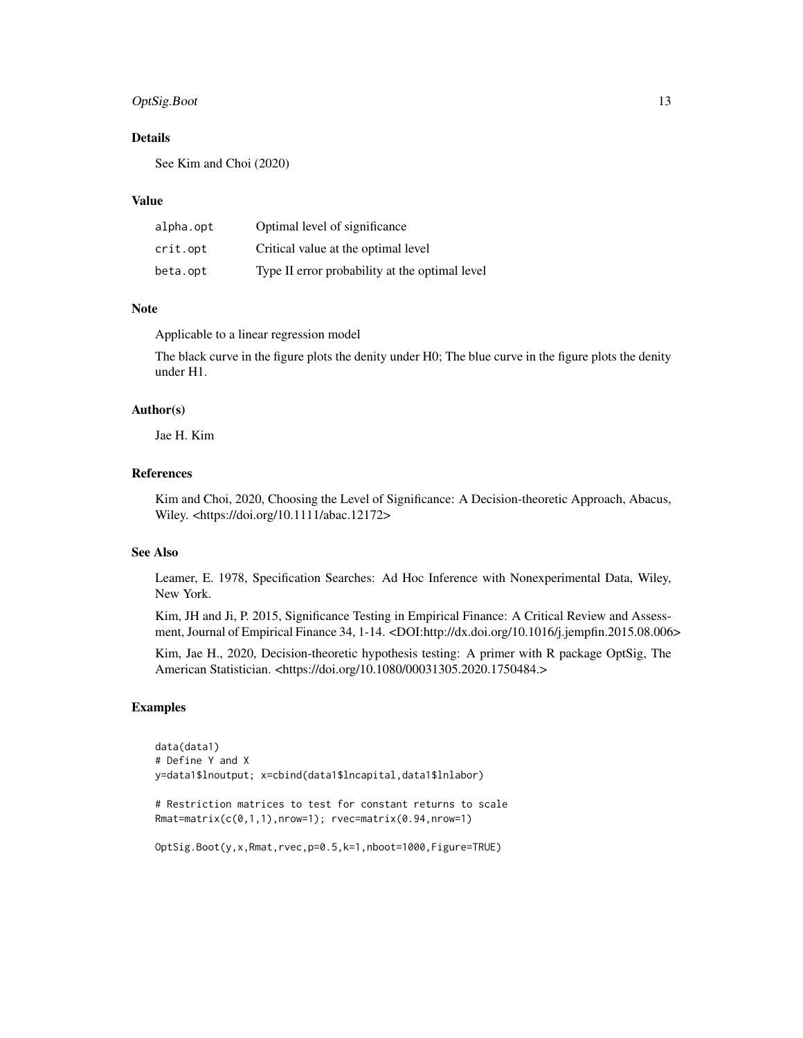#### OptSig.Boot 13

#### Details

See Kim and Choi (2020)

#### Value

| alpha.opt | Optimal level of significance                  |
|-----------|------------------------------------------------|
| crit.opt  | Critical value at the optimal level            |
| beta.opt  | Type II error probability at the optimal level |

#### Note

Applicable to a linear regression model

The black curve in the figure plots the denity under H0; The blue curve in the figure plots the denity under H1.

#### Author(s)

Jae H. Kim

#### References

Kim and Choi, 2020, Choosing the Level of Significance: A Decision-theoretic Approach, Abacus, Wiley. <https://doi.org/10.1111/abac.12172>

#### See Also

Leamer, E. 1978, Specification Searches: Ad Hoc Inference with Nonexperimental Data, Wiley, New York.

Kim, JH and Ji, P. 2015, Significance Testing in Empirical Finance: A Critical Review and Assessment, Journal of Empirical Finance 34, 1-14. <DOI:http://dx.doi.org/10.1016/j.jempfin.2015.08.006>

Kim, Jae H., 2020, Decision-theoretic hypothesis testing: A primer with R package OptSig, The American Statistician. <https://doi.org/10.1080/00031305.2020.1750484.>

#### Examples

```
data(data1)
# Define Y and X
y=data1$lnoutput; x=cbind(data1$lncapital,data1$lnlabor)
# Restriction matrices to test for constant returns to scale
Rmat=matrix(c(0,1,1),nrow=1); rvec=matrix(0.94,nrow=1)
OptSig.Boot(y,x,Rmat,rvec,p=0.5,k=1,nboot=1000,Figure=TRUE)
```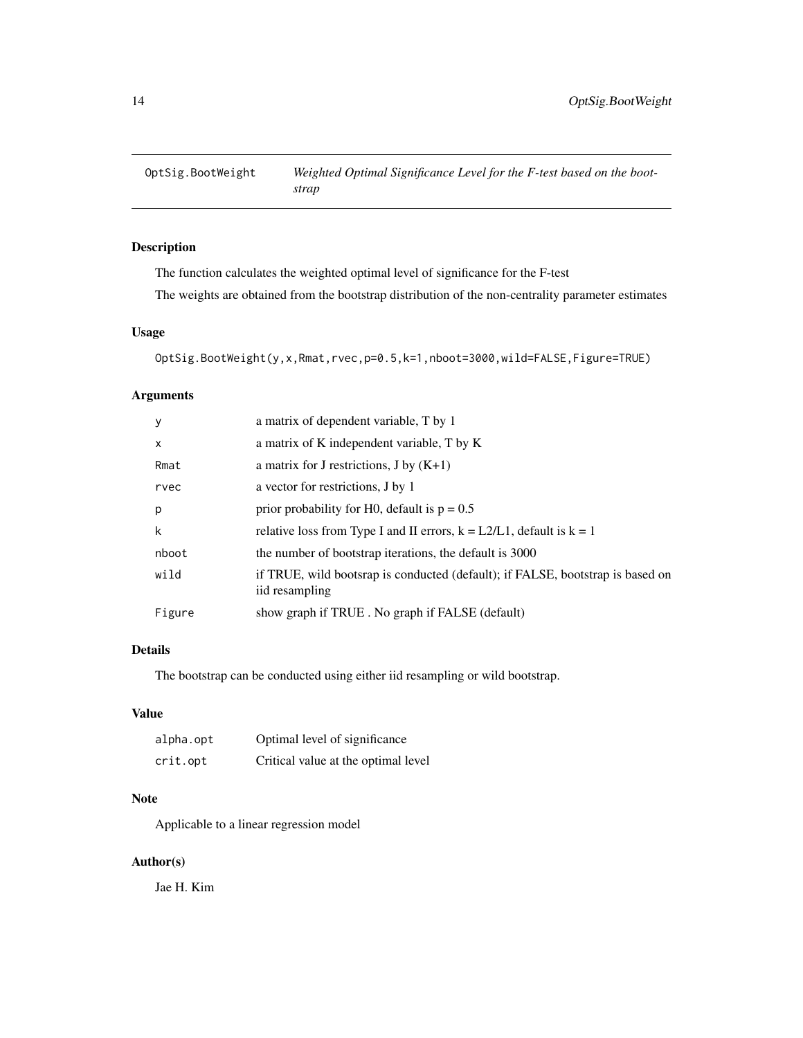<span id="page-13-0"></span>

#### Description

The function calculates the weighted optimal level of significance for the F-test

The weights are obtained from the bootstrap distribution of the non-centrality parameter estimates

#### Usage

```
OptSig.BootWeight(y,x,Rmat,rvec,p=0.5,k=1,nboot=3000,wild=FALSE,Figure=TRUE)
```
#### Arguments

| у      | a matrix of dependent variable, T by 1                                                           |
|--------|--------------------------------------------------------------------------------------------------|
| X      | a matrix of K independent variable, T by K                                                       |
| Rmat   | a matrix for J restrictions, J by $(K+1)$                                                        |
| rvec   | a vector for restrictions, J by 1                                                                |
| p      | prior probability for H0, default is $p = 0.5$                                                   |
| k      | relative loss from Type I and II errors, $k = L2/L1$ , default is $k = 1$                        |
| nboot  | the number of bootstrap iterations, the default is 3000                                          |
| wild   | if TRUE, wild bootsrap is conducted (default); if FALSE, bootstrap is based on<br>iid resampling |
| Figure | show graph if TRUE. No graph if FALSE (default)                                                  |

#### Details

The bootstrap can be conducted using either iid resampling or wild bootstrap.

#### Value

| alpha.opt | Optimal level of significance       |
|-----------|-------------------------------------|
| crit.opt  | Critical value at the optimal level |

#### Note

Applicable to a linear regression model

#### Author(s)

Jae H. Kim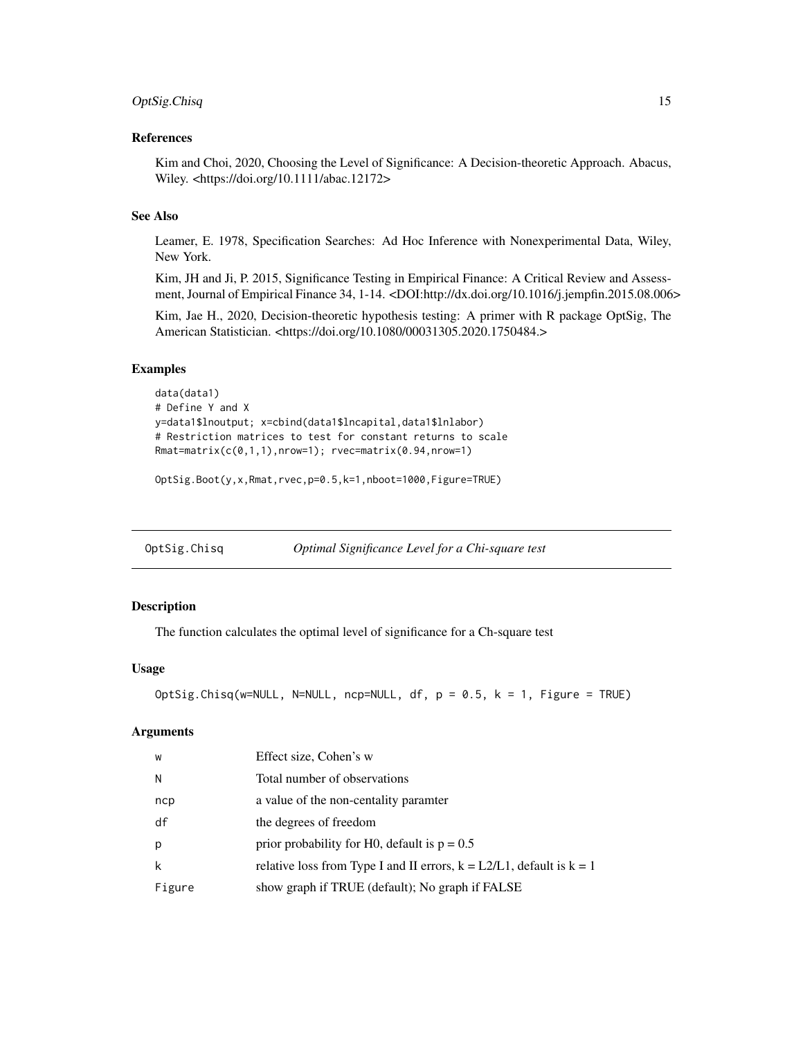#### <span id="page-14-0"></span>OptSig.Chisq 15

#### References

Kim and Choi, 2020, Choosing the Level of Significance: A Decision-theoretic Approach. Abacus, Wiley. <https://doi.org/10.1111/abac.12172>

#### See Also

Leamer, E. 1978, Specification Searches: Ad Hoc Inference with Nonexperimental Data, Wiley, New York.

Kim, JH and Ji, P. 2015, Significance Testing in Empirical Finance: A Critical Review and Assessment, Journal of Empirical Finance 34, 1-14. <DOI:http://dx.doi.org/10.1016/j.jempfin.2015.08.006>

Kim, Jae H., 2020, Decision-theoretic hypothesis testing: A primer with R package OptSig, The American Statistician. <https://doi.org/10.1080/00031305.2020.1750484.>

#### Examples

```
data(data1)
# Define Y and X
y=data1$lnoutput; x=cbind(data1$lncapital,data1$lnlabor)
# Restriction matrices to test for constant returns to scale
Rmat=matrix(c(\theta,1,1),nrow=1); rvec=matrix(\theta.94,nrow=1)
```
OptSig.Boot(y,x,Rmat,rvec,p=0.5,k=1,nboot=1000,Figure=TRUE)

#### Description

The function calculates the optimal level of significance for a Ch-square test

#### Usage

```
OptSig.Chisq(w=NULL, N=NULL, ncp=NULL, df, p = 0.5, k = 1, Figure = TRUE)
```
#### Arguments

| W      | Effect size, Cohen's w                                                    |
|--------|---------------------------------------------------------------------------|
| N      | Total number of observations                                              |
| ncp    | a value of the non-centality paramter                                     |
| df     | the degrees of freedom                                                    |
| p      | prior probability for H0, default is $p = 0.5$                            |
| k      | relative loss from Type I and II errors, $k = L2/L1$ , default is $k = 1$ |
| Figure | show graph if TRUE (default); No graph if FALSE                           |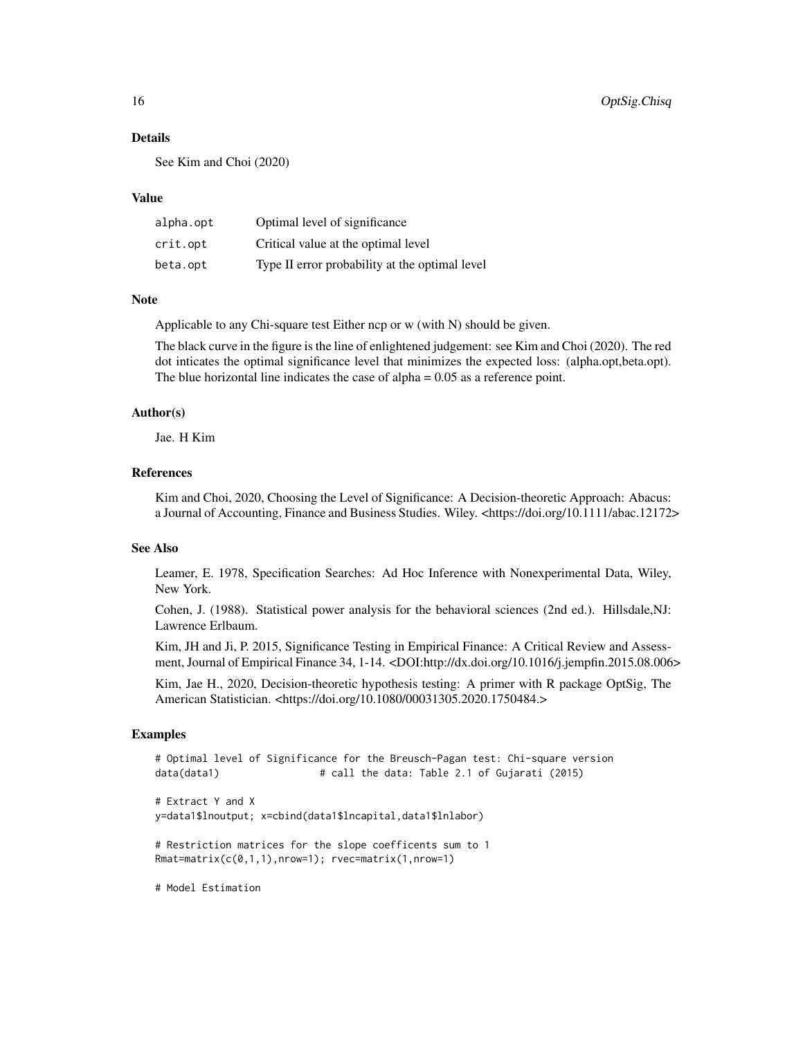#### Details

See Kim and Choi (2020)

#### Value

| alpha.opt | Optimal level of significance                  |
|-----------|------------------------------------------------|
| crit.opt  | Critical value at the optimal level            |
| beta.opt  | Type II error probability at the optimal level |

#### Note

Applicable to any Chi-square test Either ncp or w (with N) should be given.

The black curve in the figure is the line of enlightened judgement: see Kim and Choi (2020). The red dot inticates the optimal significance level that minimizes the expected loss: (alpha.opt,beta.opt). The blue horizontal line indicates the case of alpha  $= 0.05$  as a reference point.

#### Author(s)

Jae. H Kim

#### References

Kim and Choi, 2020, Choosing the Level of Significance: A Decision-theoretic Approach: Abacus: a Journal of Accounting, Finance and Business Studies. Wiley. <https://doi.org/10.1111/abac.12172>

#### See Also

Leamer, E. 1978, Specification Searches: Ad Hoc Inference with Nonexperimental Data, Wiley, New York.

Cohen, J. (1988). Statistical power analysis for the behavioral sciences (2nd ed.). Hillsdale,NJ: Lawrence Erlbaum.

Kim, JH and Ji, P. 2015, Significance Testing in Empirical Finance: A Critical Review and Assessment, Journal of Empirical Finance 34, 1-14. <DOI:http://dx.doi.org/10.1016/j.jempfin.2015.08.006>

Kim, Jae H., 2020, Decision-theoretic hypothesis testing: A primer with R package OptSig, The American Statistician. <https://doi.org/10.1080/00031305.2020.1750484.>

#### Examples

```
# Optimal level of Significance for the Breusch-Pagan test: Chi-square version
data(data1) # call the data: Table 2.1 of Gujarati (2015)
# Extract Y and X
y=data1$lnoutput; x=cbind(data1$lncapital,data1$lnlabor)
# Restriction matrices for the slope coefficents sum to 1
Rmat=matrix(c(0,1,1),nrow=1); rvec=matrix(1,nrow=1)
```
# Model Estimation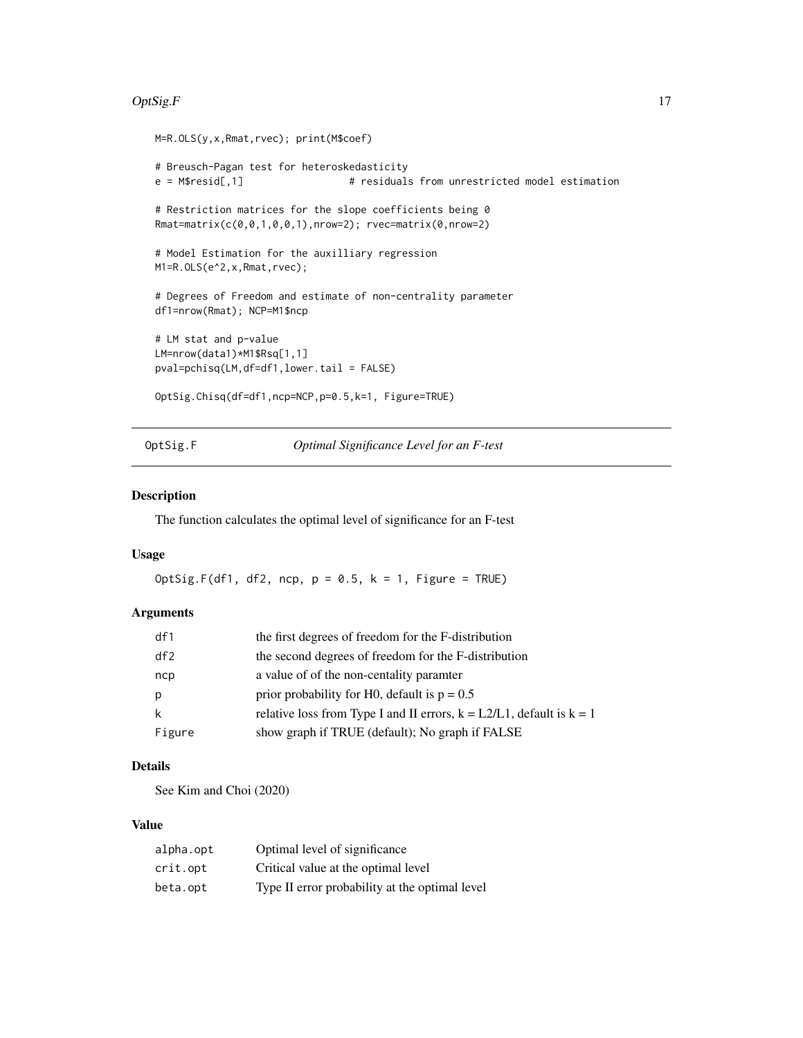#### <span id="page-16-0"></span> $OptSig.F$  17

```
M=R.OLS(y,x,Rmat,rvec); print(M$coef)
# Breusch-Pagan test for heteroskedasticity
                                 # residuals from unrestricted model estimation
# Restriction matrices for the slope coefficients being 0
Rmat=matrix(c(0,0,1,0,0,1),nrow=2); rvec=matrix(0,nrow=2)
# Model Estimation for the auxilliary regression
M1=R.OLS(e^2,x,Rmat,rvec);
# Degrees of Freedom and estimate of non-centrality parameter
df1=nrow(Rmat); NCP=M1$ncp
# LM stat and p-value
LM=nrow(data1)*M1$Rsq[1,1]
pval=pchisq(LM,df=df1,lower.tail = FALSE)
OptSig.Chisq(df=df1,ncp=NCP,p=0.5,k=1, Figure=TRUE)
```
OptSig.F *Optimal Significance Level for an F-test*

#### Description

The function calculates the optimal level of significance for an F-test

#### Usage

OptSig.F(df1, df2, ncp,  $p = 0.5$ ,  $k = 1$ , Figure = TRUE)

#### Arguments

| df1    | the first degrees of freedom for the F-distribution                       |
|--------|---------------------------------------------------------------------------|
| df2    | the second degrees of freedom for the F-distribution                      |
| ncp    | a value of of the non-centality paramter                                  |
| p      | prior probability for H0, default is $p = 0.5$                            |
| k      | relative loss from Type I and II errors, $k = L2/L1$ , default is $k = 1$ |
| Figure | show graph if TRUE (default); No graph if FALSE                           |

#### Details

See Kim and Choi (2020)

#### Value

| alpha.opt | Optimal level of significance                  |
|-----------|------------------------------------------------|
| crit.opt  | Critical value at the optimal level            |
| beta.opt  | Type II error probability at the optimal level |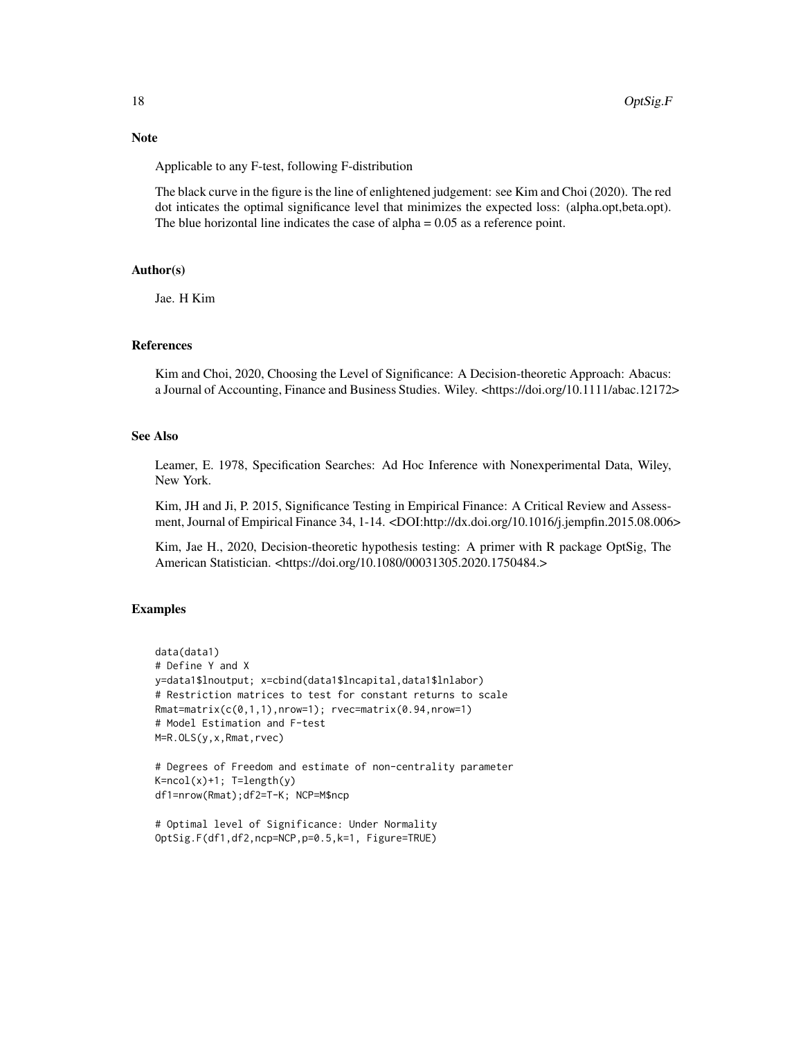#### Note

Applicable to any F-test, following F-distribution

The black curve in the figure is the line of enlightened judgement: see Kim and Choi (2020). The red dot inticates the optimal significance level that minimizes the expected loss: (alpha.opt,beta.opt). The blue horizontal line indicates the case of alpha  $= 0.05$  as a reference point.

#### Author(s)

Jae. H Kim

#### References

Kim and Choi, 2020, Choosing the Level of Significance: A Decision-theoretic Approach: Abacus: a Journal of Accounting, Finance and Business Studies. Wiley. <https://doi.org/10.1111/abac.12172>

#### See Also

Leamer, E. 1978, Specification Searches: Ad Hoc Inference with Nonexperimental Data, Wiley, New York.

Kim, JH and Ji, P. 2015, Significance Testing in Empirical Finance: A Critical Review and Assessment, Journal of Empirical Finance 34, 1-14. <DOI:http://dx.doi.org/10.1016/j.jempfin.2015.08.006>

Kim, Jae H., 2020, Decision-theoretic hypothesis testing: A primer with R package OptSig, The American Statistician. <https://doi.org/10.1080/00031305.2020.1750484.>

#### Examples

```
data(data1)
# Define Y and X
y=data1$lnoutput; x=cbind(data1$lncapital,data1$lnlabor)
# Restriction matrices to test for constant returns to scale
Rmat=matrix(c(0,1,1),nrow=1); rvec=matrix(0.94,nrow=1)# Model Estimation and F-test
M=R.OLS(y,x,Rmat,rvec)
# Degrees of Freedom and estimate of non-centrality parameter
K = ncol(x) + 1; T=length(y)
df1=nrow(Rmat);df2=T-K; NCP=M$ncp
```

```
# Optimal level of Significance: Under Normality
OptSig.F(df1,df2,ncp=NCP,p=0.5,k=1, Figure=TRUE)
```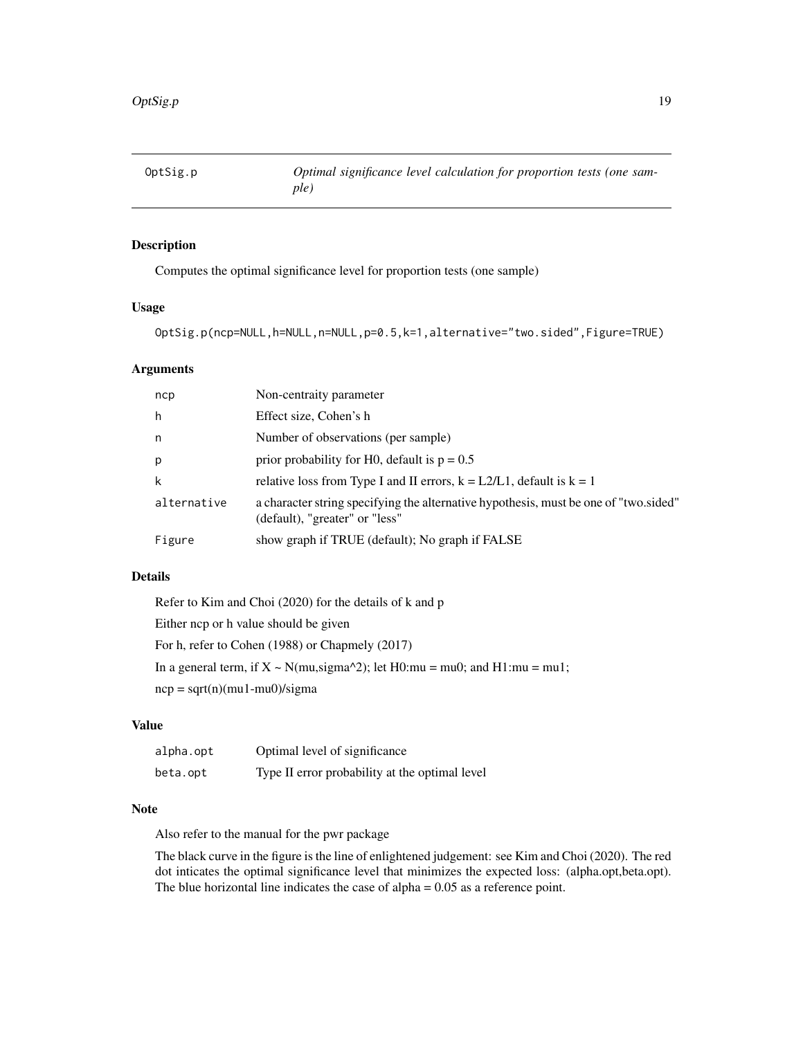<span id="page-18-0"></span>

#### Description

Computes the optimal significance level for proportion tests (one sample)

#### Usage

```
OptSig.p(ncp=NULL,h=NULL,n=NULL,p=0.5,k=1,alternative="two.sided",Figure=TRUE)
```
#### Arguments

| ncp         | Non-centraity parameter                                                                                                |
|-------------|------------------------------------------------------------------------------------------------------------------------|
| h           | Effect size, Cohen's h                                                                                                 |
| n.          | Number of observations (per sample)                                                                                    |
| p           | prior probability for H0, default is $p = 0.5$                                                                         |
| k           | relative loss from Type I and II errors, $k = L2/L1$ , default is $k = 1$                                              |
| alternative | a character string specifying the alternative hypothesis, must be one of "two sided"<br>(default), "greater" or "less" |
| Figure      | show graph if TRUE (default); No graph if FALSE                                                                        |

#### Details

| Refer to Kim and Choi (2020) for the details of k and p                           |
|-----------------------------------------------------------------------------------|
| Either ncp or h value should be given                                             |
| For h, refer to Cohen (1988) or Chapmely (2017)                                   |
| In a general term, if $X \sim N$ (mu, sigma^2); let H0:mu = mu0; and H1:mu = mu1; |
| $ncp = sqrt(n)(mu1-mu0)/sigma$                                                    |

#### Value

| alpha.opt | Optimal level of significance                  |
|-----------|------------------------------------------------|
| beta.opt  | Type II error probability at the optimal level |

#### Note

Also refer to the manual for the pwr package

The black curve in the figure is the line of enlightened judgement: see Kim and Choi (2020). The red dot inticates the optimal significance level that minimizes the expected loss: (alpha.opt,beta.opt). The blue horizontal line indicates the case of alpha  $= 0.05$  as a reference point.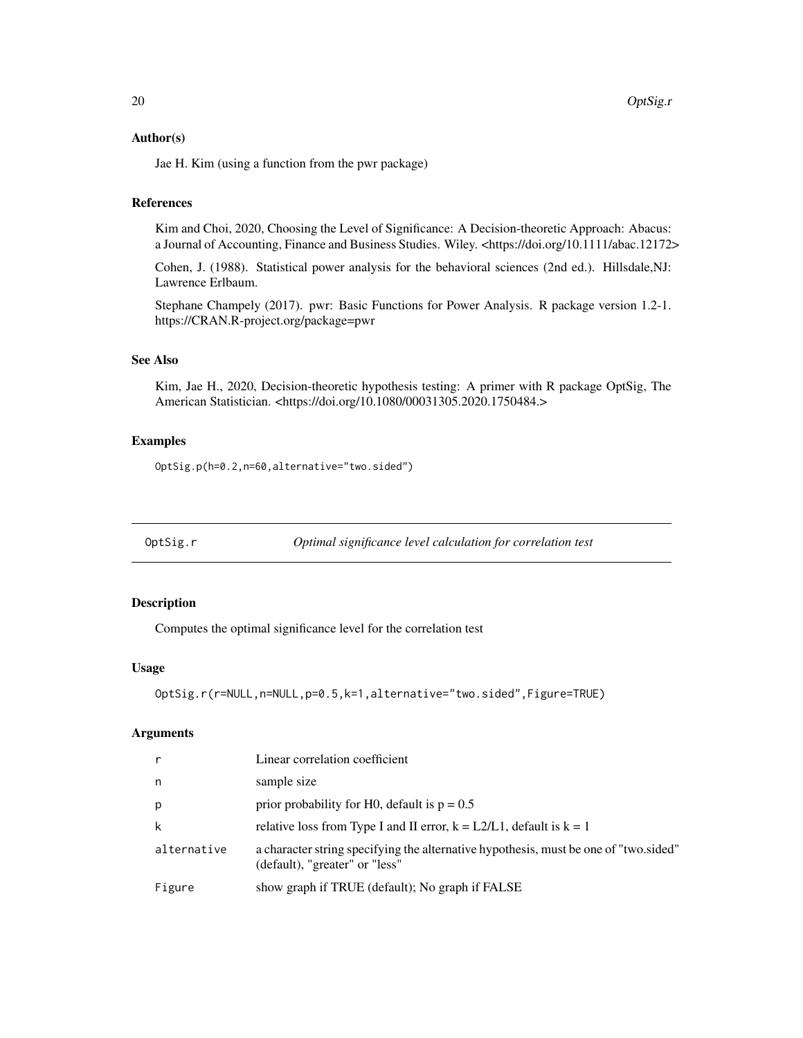#### <span id="page-19-0"></span>Author(s)

Jae H. Kim (using a function from the pwr package)

#### References

Kim and Choi, 2020, Choosing the Level of Significance: A Decision-theoretic Approach: Abacus: a Journal of Accounting, Finance and Business Studies. Wiley. <https://doi.org/10.1111/abac.12172>

Cohen, J. (1988). Statistical power analysis for the behavioral sciences (2nd ed.). Hillsdale,NJ: Lawrence Erlbaum.

Stephane Champely (2017). pwr: Basic Functions for Power Analysis. R package version 1.2-1. https://CRAN.R-project.org/package=pwr

#### See Also

Kim, Jae H., 2020, Decision-theoretic hypothesis testing: A primer with R package OptSig, The American Statistician. <https://doi.org/10.1080/00031305.2020.1750484.>

#### Examples

OptSig.p(h=0.2,n=60,alternative="two.sided")

OptSig.r *Optimal significance level calculation for correlation test*

#### Description

Computes the optimal significance level for the correlation test

#### Usage

```
OptSig.r(r=NULL,n=NULL,p=0.5,k=1,alternative="two.sided",Figure=TRUE)
```
#### Arguments

| $\mathsf{r}$ | Linear correlation coefficient                                                                                         |
|--------------|------------------------------------------------------------------------------------------------------------------------|
| n            | sample size                                                                                                            |
| p            | prior probability for H0, default is $p = 0.5$                                                                         |
| k            | relative loss from Type I and II error, $k = L2/L1$ , default is $k = 1$                                               |
| alternative  | a character string specifying the alternative hypothesis, must be one of "two sided"<br>(default), "greater" or "less" |
| Figure       | show graph if TRUE (default); No graph if FALSE                                                                        |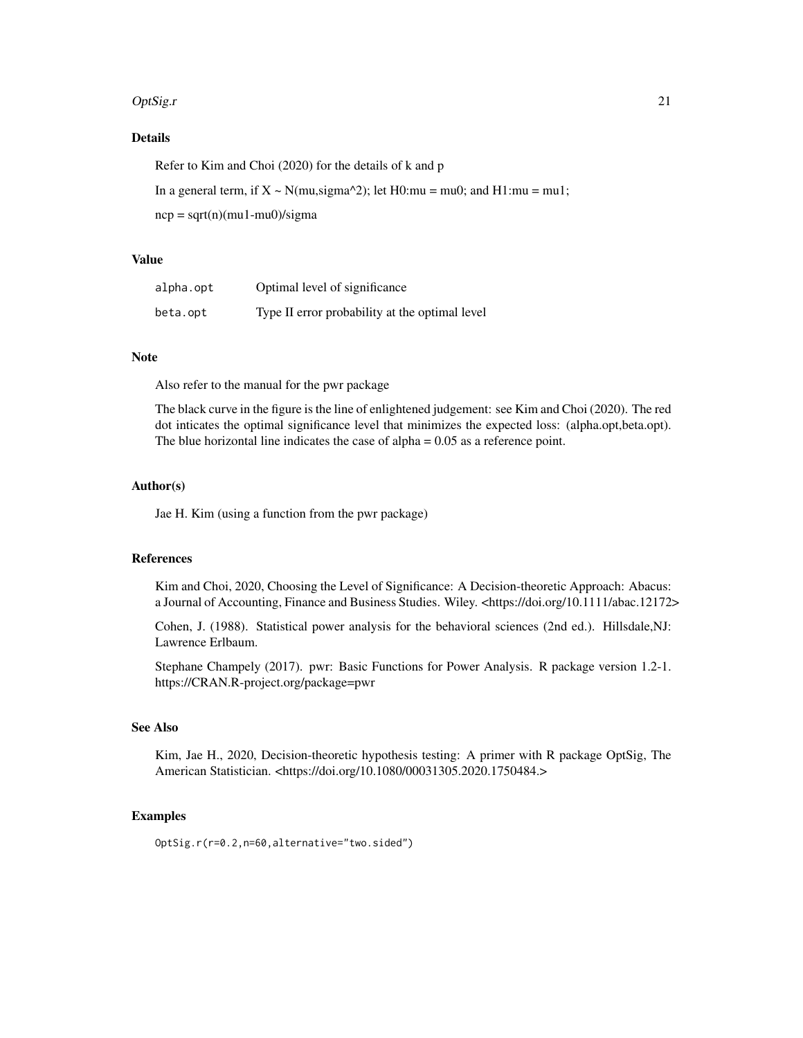#### $Opt{\text{Sig.r}}$  21

#### Details

Refer to Kim and Choi (2020) for the details of k and p

In a general term, if  $X \sim N(mu, sigma^2)$ ; let H0:mu = mu0; and H1:mu = mu1;

 $ncp = sqrt(n)(mu1-mu0)/sigma$ 

#### Value

| alpha.opt | Optimal level of significance                  |
|-----------|------------------------------------------------|
| beta.opt  | Type II error probability at the optimal level |

#### Note

Also refer to the manual for the pwr package

The black curve in the figure is the line of enlightened judgement: see Kim and Choi (2020). The red dot inticates the optimal significance level that minimizes the expected loss: (alpha.opt,beta.opt). The blue horizontal line indicates the case of alpha  $= 0.05$  as a reference point.

#### Author(s)

Jae H. Kim (using a function from the pwr package)

#### References

Kim and Choi, 2020, Choosing the Level of Significance: A Decision-theoretic Approach: Abacus: a Journal of Accounting, Finance and Business Studies. Wiley. <https://doi.org/10.1111/abac.12172>

Cohen, J. (1988). Statistical power analysis for the behavioral sciences (2nd ed.). Hillsdale,NJ: Lawrence Erlbaum.

Stephane Champely (2017). pwr: Basic Functions for Power Analysis. R package version 1.2-1. https://CRAN.R-project.org/package=pwr

#### See Also

Kim, Jae H., 2020, Decision-theoretic hypothesis testing: A primer with R package OptSig, The American Statistician. <https://doi.org/10.1080/00031305.2020.1750484.>

#### Examples

OptSig.r(r=0.2,n=60,alternative="two.sided")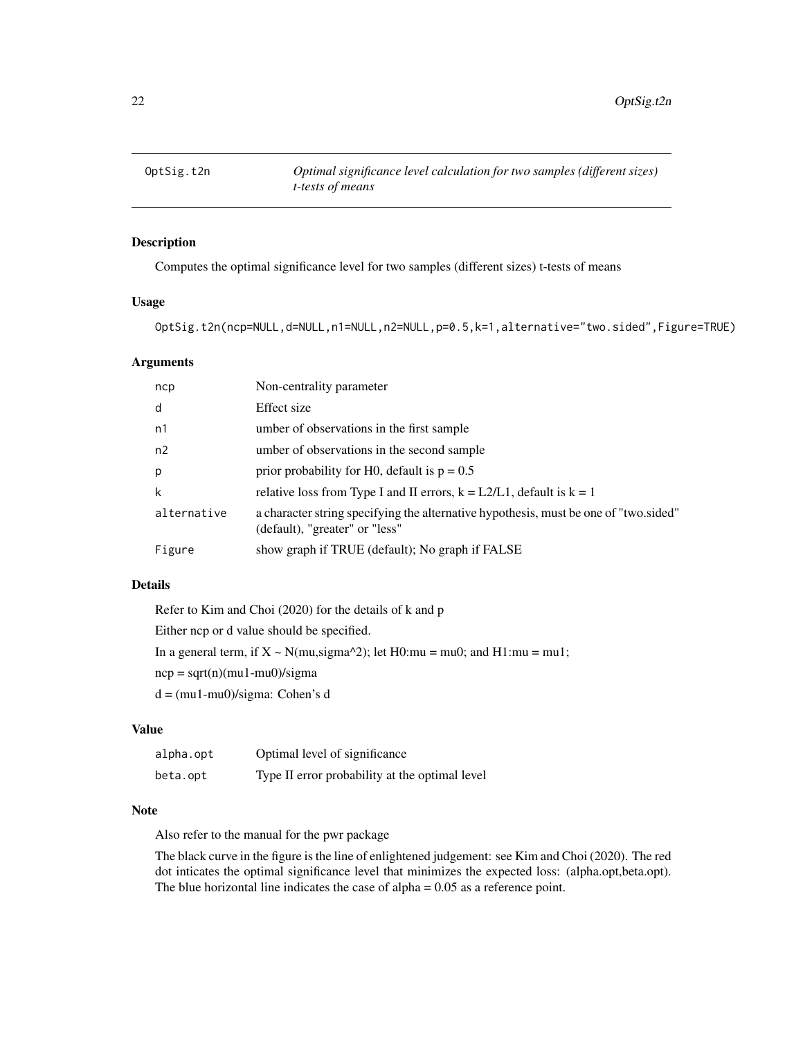<span id="page-21-0"></span>

#### Description

Computes the optimal significance level for two samples (different sizes) t-tests of means

#### Usage

OptSig.t2n(ncp=NULL,d=NULL,n1=NULL,n2=NULL,p=0.5,k=1,alternative="two.sided",Figure=TRUE)

#### Arguments

| ncp         | Non-centrality parameter                                                                                               |
|-------------|------------------------------------------------------------------------------------------------------------------------|
| d           | Effect size                                                                                                            |
| n1          | umber of observations in the first sample                                                                              |
| n2          | umber of observations in the second sample                                                                             |
| p           | prior probability for H0, default is $p = 0.5$                                                                         |
| k           | relative loss from Type I and II errors, $k = L2/L1$ , default is $k = 1$                                              |
| alternative | a character string specifying the alternative hypothesis, must be one of "two.sided"<br>(default), "greater" or "less" |
| Figure      | show graph if TRUE (default); No graph if FALSE                                                                        |

#### Details

Refer to Kim and Choi (2020) for the details of k and p Either ncp or d value should be specified. In a general term, if  $X \sim N(mu, sigma^2)$ ; let H0:mu = mu0; and H1:mu = mu1;  $ncp = sqrt(n)(mu1-mu0)/sigma$ d = (mu1-mu0)/sigma: Cohen's d

#### Value

| alpha.opt | Optimal level of significance                  |
|-----------|------------------------------------------------|
| beta.opt  | Type II error probability at the optimal level |

#### Note

Also refer to the manual for the pwr package

The black curve in the figure is the line of enlightened judgement: see Kim and Choi (2020). The red dot inticates the optimal significance level that minimizes the expected loss: (alpha.opt,beta.opt). The blue horizontal line indicates the case of alpha  $= 0.05$  as a reference point.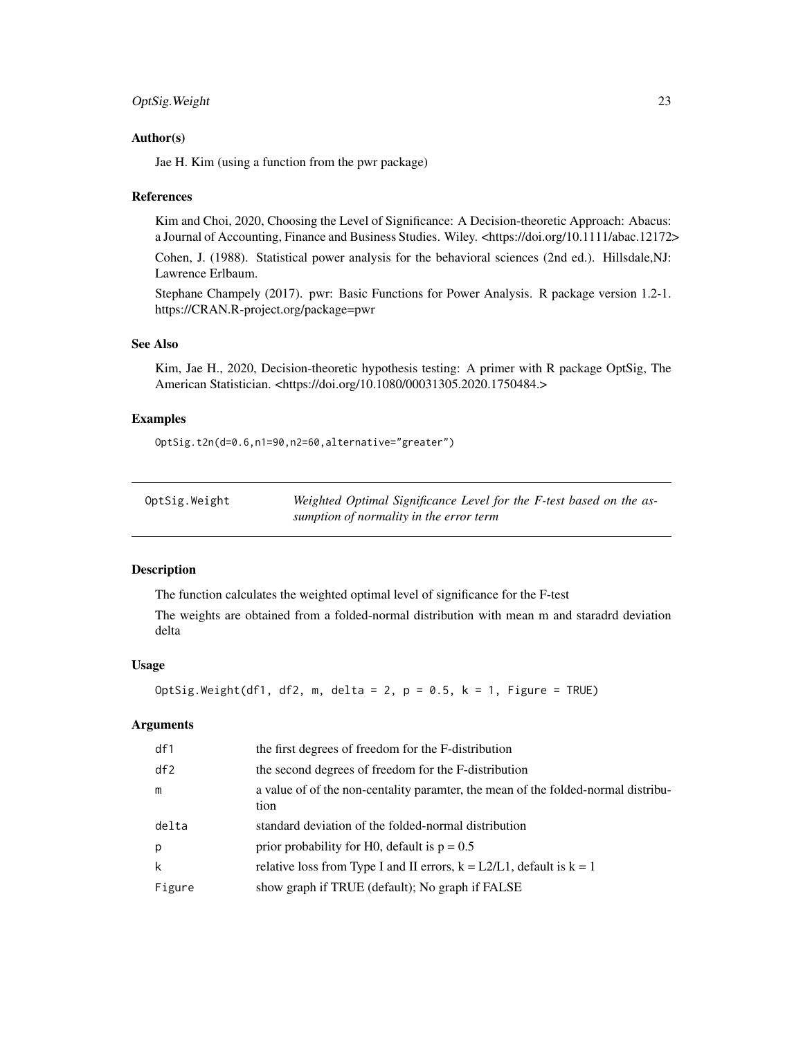#### <span id="page-22-0"></span>OptSig.Weight 23

#### Author(s)

Jae H. Kim (using a function from the pwr package)

#### References

Kim and Choi, 2020, Choosing the Level of Significance: A Decision-theoretic Approach: Abacus: a Journal of Accounting, Finance and Business Studies. Wiley. <https://doi.org/10.1111/abac.12172>

Cohen, J. (1988). Statistical power analysis for the behavioral sciences (2nd ed.). Hillsdale,NJ: Lawrence Erlbaum.

Stephane Champely (2017). pwr: Basic Functions for Power Analysis. R package version 1.2-1. https://CRAN.R-project.org/package=pwr

#### See Also

Kim, Jae H., 2020, Decision-theoretic hypothesis testing: A primer with R package OptSig, The American Statistician. <https://doi.org/10.1080/00031305.2020.1750484.>

#### Examples

OptSig.t2n(d=0.6,n1=90,n2=60,alternative="greater")

| OptSig.Weight | Weighted Optimal Significance Level for the F-test based on the as- |
|---------------|---------------------------------------------------------------------|
|               | sumption of normality in the error term                             |

#### Description

The function calculates the weighted optimal level of significance for the F-test

The weights are obtained from a folded-normal distribution with mean m and staradrd deviation delta

#### Usage

```
OptSig.Weight(df1, df2, m, delta = 2, p = 0.5, k = 1, Figure = TRUE)
```
#### **Arguments**

| df1    | the first degrees of freedom for the F-distribution                                       |
|--------|-------------------------------------------------------------------------------------------|
| df2    | the second degrees of freedom for the F-distribution                                      |
| m      | a value of of the non-centality parametr, the mean of the folded-normal distribu-<br>tion |
| delta  | standard deviation of the folded-normal distribution                                      |
| p      | prior probability for H0, default is $p = 0.5$                                            |
| k      | relative loss from Type I and II errors, $k = L2/L1$ , default is $k = 1$                 |
| Figure | show graph if TRUE (default); No graph if FALSE                                           |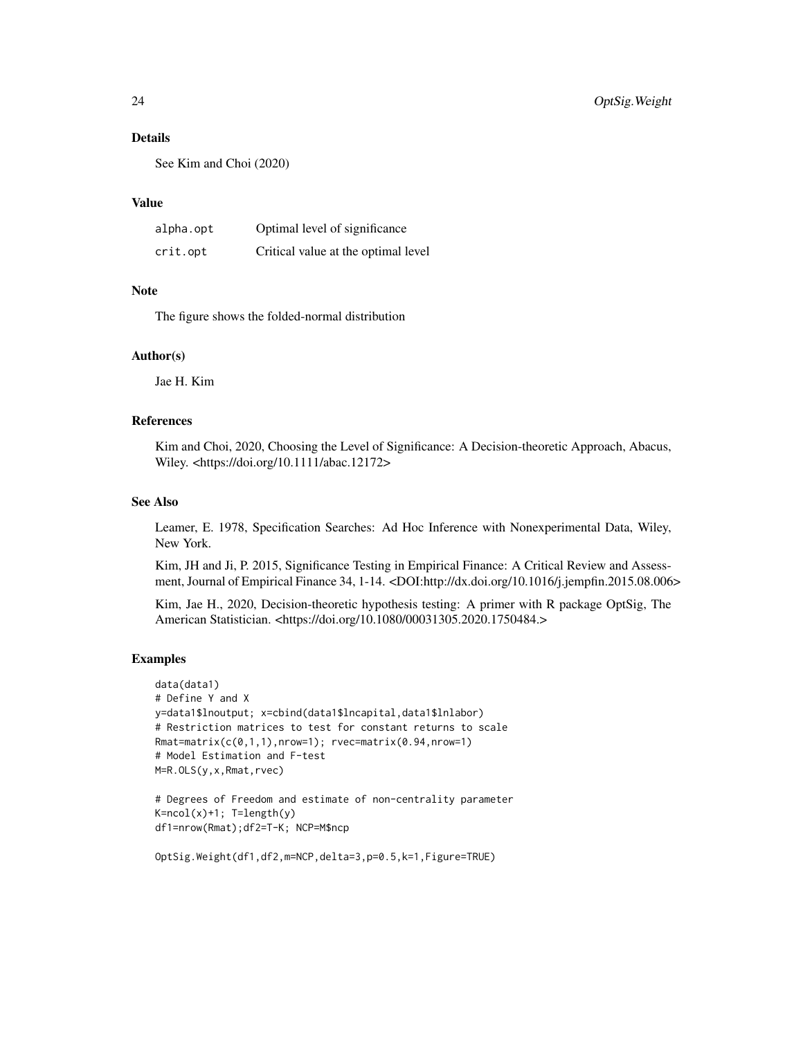#### Details

See Kim and Choi (2020)

#### Value

| alpha.opt | Optimal level of significance       |
|-----------|-------------------------------------|
| crit.opt  | Critical value at the optimal level |

#### **Note**

The figure shows the folded-normal distribution

#### Author(s)

Jae H. Kim

#### References

Kim and Choi, 2020, Choosing the Level of Significance: A Decision-theoretic Approach, Abacus, Wiley. <https://doi.org/10.1111/abac.12172>

#### See Also

Leamer, E. 1978, Specification Searches: Ad Hoc Inference with Nonexperimental Data, Wiley, New York.

Kim, JH and Ji, P. 2015, Significance Testing in Empirical Finance: A Critical Review and Assessment, Journal of Empirical Finance 34, 1-14. <DOI:http://dx.doi.org/10.1016/j.jempfin.2015.08.006>

Kim, Jae H., 2020, Decision-theoretic hypothesis testing: A primer with R package OptSig, The American Statistician. <https://doi.org/10.1080/00031305.2020.1750484.>

#### Examples

```
data(data1)
# Define Y and X
y=data1$lnoutput; x=cbind(data1$lncapital,data1$lnlabor)
# Restriction matrices to test for constant returns to scale
Rmat=matrix(c(0,1,1),nrow=1); rvec=matrix(0.94,nrow=1)
# Model Estimation and F-test
M=R.OLS(y,x,Rmat,rvec)
```

```
# Degrees of Freedom and estimate of non-centrality parameter
K=ncol(x)+1; T=length(y)
df1=nrow(Rmat);df2=T-K; NCP=M$ncp
```

```
OptSig.Weight(df1,df2,m=NCP,delta=3,p=0.5,k=1,Figure=TRUE)
```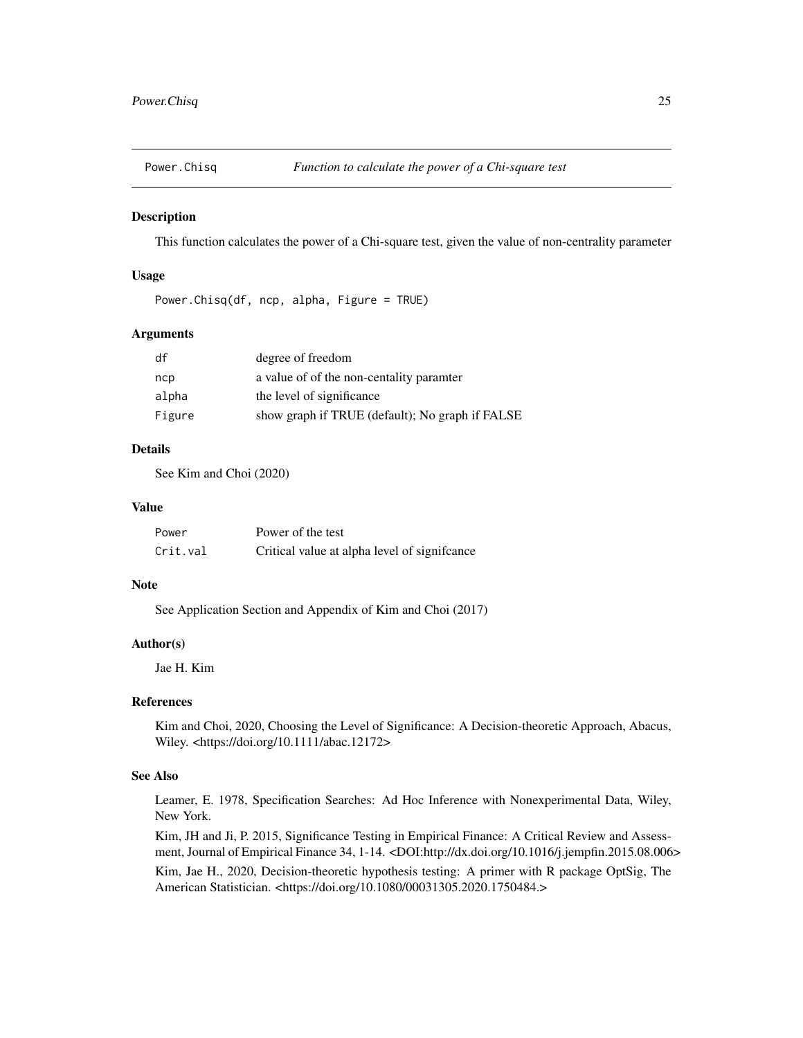<span id="page-24-0"></span>

#### Description

This function calculates the power of a Chi-square test, given the value of non-centrality parameter

#### Usage

```
Power.Chisq(df, ncp, alpha, Figure = TRUE)
```
#### Arguments

| df     | degree of freedom                               |
|--------|-------------------------------------------------|
| ncp    | a value of of the non-centality paramter        |
| alpha  | the level of significance                       |
| Figure | show graph if TRUE (default); No graph if FALSE |

#### Details

See Kim and Choi (2020)

#### Value

| Power    | Power of the test                             |
|----------|-----------------------------------------------|
| Crit.val | Critical value at alpha level of significance |

#### Note

See Application Section and Appendix of Kim and Choi (2017)

#### Author(s)

Jae H. Kim

#### References

Kim and Choi, 2020, Choosing the Level of Significance: A Decision-theoretic Approach, Abacus, Wiley. <https://doi.org/10.1111/abac.12172>

#### See Also

Leamer, E. 1978, Specification Searches: Ad Hoc Inference with Nonexperimental Data, Wiley, New York.

Kim, JH and Ji, P. 2015, Significance Testing in Empirical Finance: A Critical Review and Assessment, Journal of Empirical Finance 34, 1-14. <DOI:http://dx.doi.org/10.1016/j.jempfin.2015.08.006>

Kim, Jae H., 2020, Decision-theoretic hypothesis testing: A primer with R package OptSig, The American Statistician. <https://doi.org/10.1080/00031305.2020.1750484.>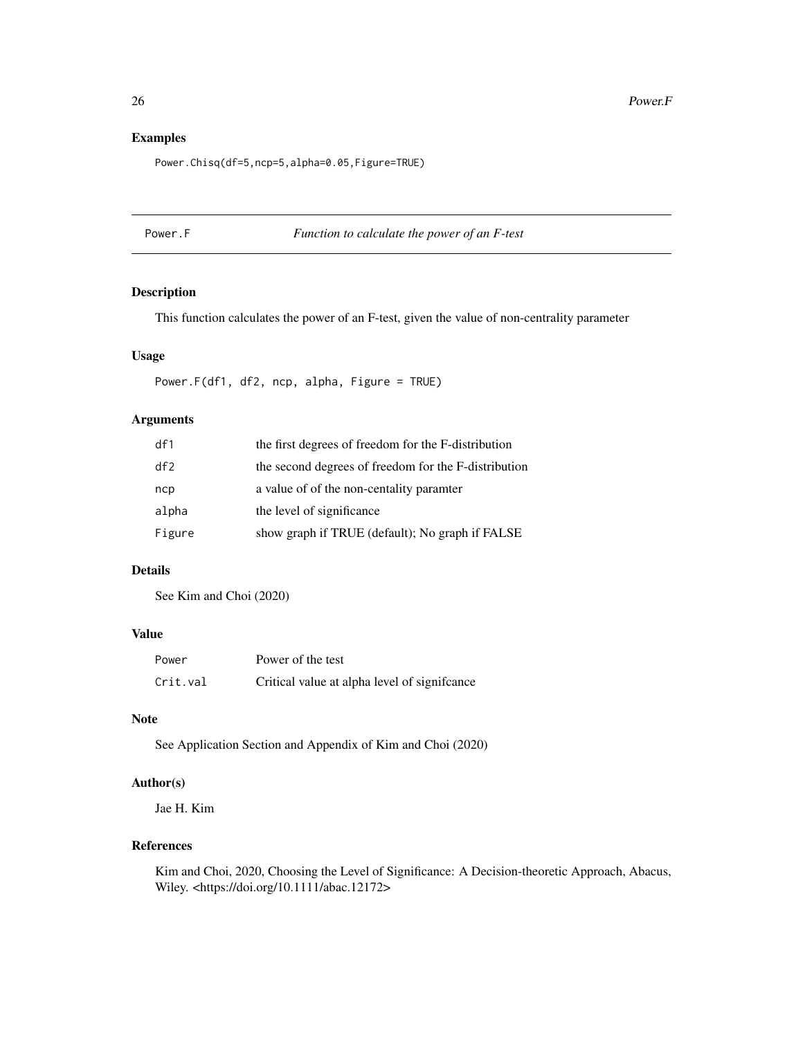#### Examples

Power.Chisq(df=5,ncp=5,alpha=0.05,Figure=TRUE)

#### Power.F *Function to calculate the power of an F-test*

#### Description

This function calculates the power of an F-test, given the value of non-centrality parameter

#### Usage

Power.F(df1, df2, ncp, alpha, Figure = TRUE)

#### Arguments

| df1    | the first degrees of freedom for the F-distribution  |
|--------|------------------------------------------------------|
| df2    | the second degrees of freedom for the F-distribution |
| ncp    | a value of of the non-centality paramter             |
| alpha  | the level of significance                            |
| Figure | show graph if TRUE (default); No graph if FALSE      |

#### Details

See Kim and Choi (2020)

#### Value

| Power    | Power of the test                             |
|----------|-----------------------------------------------|
| Crit.val | Critical value at alpha level of significance |

#### Note

See Application Section and Appendix of Kim and Choi (2020)

#### Author(s)

Jae H. Kim

#### References

Kim and Choi, 2020, Choosing the Level of Significance: A Decision-theoretic Approach, Abacus, Wiley. <https://doi.org/10.1111/abac.12172>

<span id="page-25-0"></span>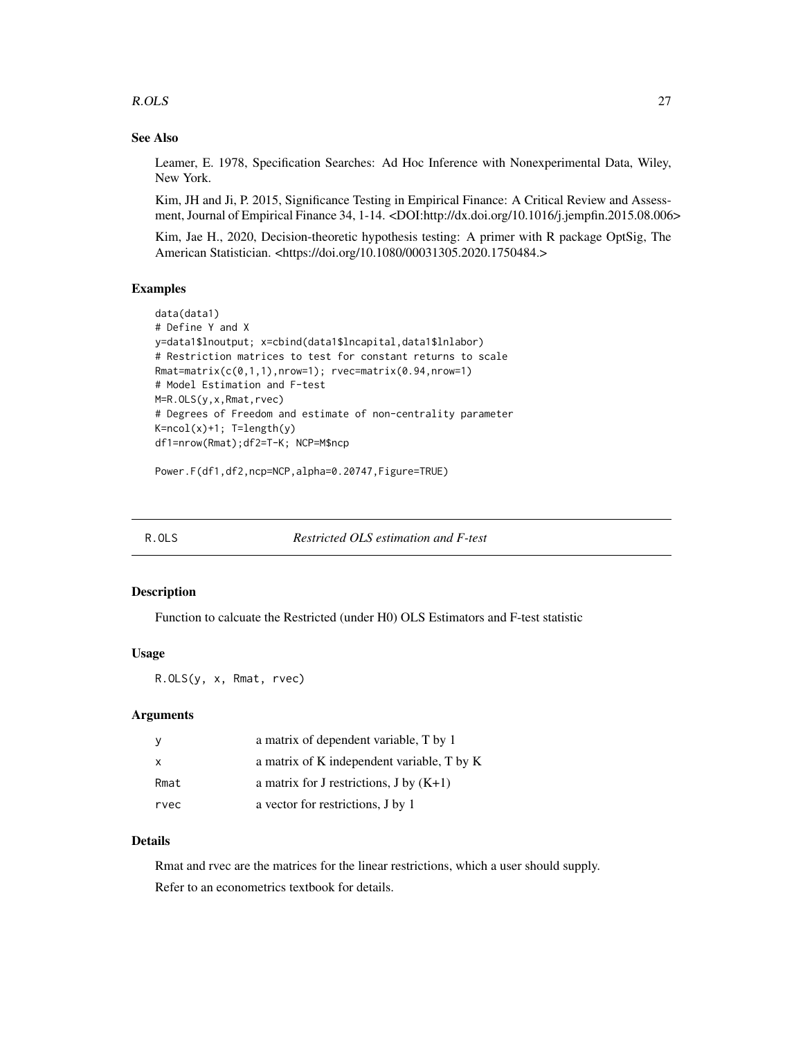#### <span id="page-26-0"></span>R.OLS  $\sim$  27

#### See Also

Leamer, E. 1978, Specification Searches: Ad Hoc Inference with Nonexperimental Data, Wiley, New York.

Kim, JH and Ji, P. 2015, Significance Testing in Empirical Finance: A Critical Review and Assessment, Journal of Empirical Finance 34, 1-14. <DOI:http://dx.doi.org/10.1016/j.jempfin.2015.08.006>

Kim, Jae H., 2020, Decision-theoretic hypothesis testing: A primer with R package OptSig, The American Statistician. <https://doi.org/10.1080/00031305.2020.1750484.>

#### Examples

```
data(data1)
# Define Y and X
y=data1$lnoutput; x=cbind(data1$lncapital,data1$lnlabor)
# Restriction matrices to test for constant returns to scale
Rmat=matrix(c(0,1,1),nrow=1); rvec=matrix(0.94,nrow=1)
# Model Estimation and F-test
M=R.OLS(y,x,Rmat,rvec)
# Degrees of Freedom and estimate of non-centrality parameter
K=ncol(x)+1; T=length(y)
df1=nrow(Rmat);df2=T-K; NCP=M$ncp
```
Power.F(df1,df2,ncp=NCP,alpha=0.20747,Figure=TRUE)

R.OLS *Restricted OLS estimation and F-test*

#### Description

Function to calcuate the Restricted (under H0) OLS Estimators and F-test statistic

#### Usage

R.OLS(y, x, Rmat, rvec)

#### Arguments

|              | a matrix of dependent variable, T by 1     |
|--------------|--------------------------------------------|
| $\mathbf{x}$ | a matrix of K independent variable, T by K |
| Rmat         | a matrix for J restrictions, J by $(K+1)$  |
| rvec         | a vector for restrictions, J by 1          |

#### Details

Rmat and rvec are the matrices for the linear restrictions, which a user should supply. Refer to an econometrics textbook for details.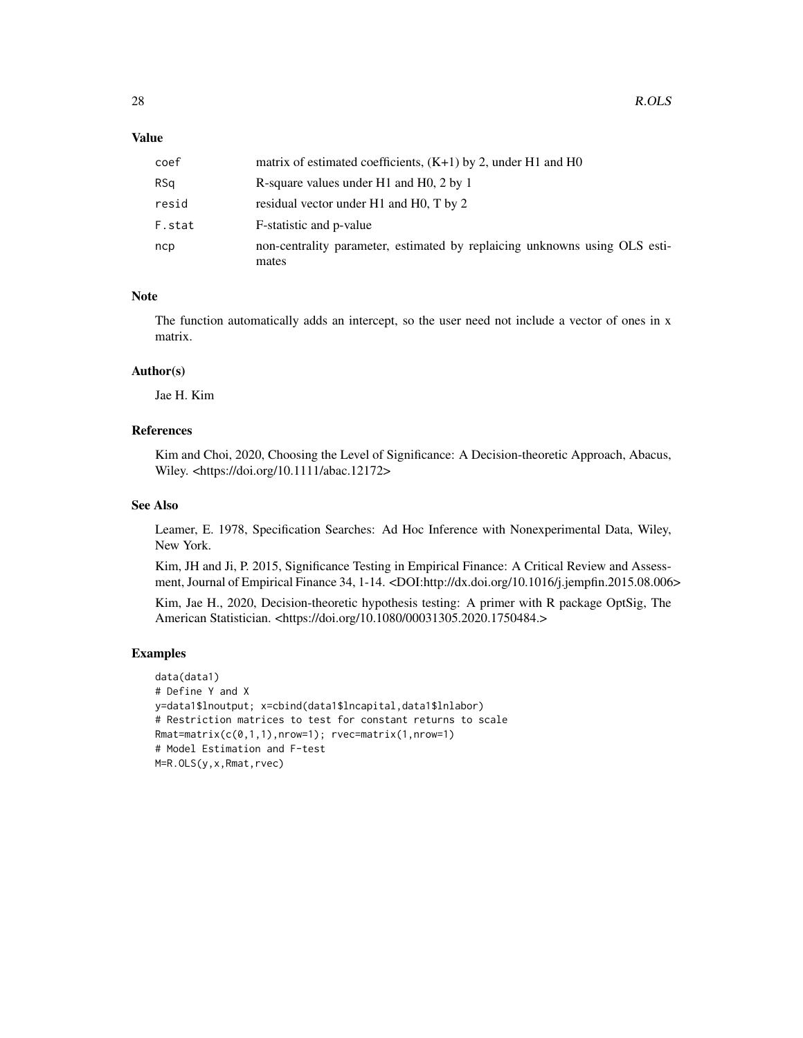#### Value

| coef   | matrix of estimated coefficients, $(K+1)$ by 2, under H1 and H0                     |
|--------|-------------------------------------------------------------------------------------|
| RSa    | R-square values under H1 and H0, 2 by 1                                             |
| resid  | residual vector under H1 and H0, T by 2                                             |
| F.stat | F-statistic and p-value                                                             |
| ncp    | non-centrality parameter, estimated by replaicing unknowns using OLS esti-<br>mates |

#### Note

The function automatically adds an intercept, so the user need not include a vector of ones in x matrix.

#### Author(s)

Jae H. Kim

#### References

Kim and Choi, 2020, Choosing the Level of Significance: A Decision-theoretic Approach, Abacus, Wiley. <https://doi.org/10.1111/abac.12172>

#### See Also

Leamer, E. 1978, Specification Searches: Ad Hoc Inference with Nonexperimental Data, Wiley, New York.

Kim, JH and Ji, P. 2015, Significance Testing in Empirical Finance: A Critical Review and Assessment, Journal of Empirical Finance 34, 1-14. <DOI:http://dx.doi.org/10.1016/j.jempfin.2015.08.006>

Kim, Jae H., 2020, Decision-theoretic hypothesis testing: A primer with R package OptSig, The American Statistician. <https://doi.org/10.1080/00031305.2020.1750484.>

#### Examples

```
data(data1)
# Define Y and X
y=data1$lnoutput; x=cbind(data1$lncapital,data1$lnlabor)
# Restriction matrices to test for constant returns to scale
Rmat=matrix(c(0,1,1),nrow=1); rvec=matrix(1,nrow=1)
# Model Estimation and F-test
M=R.OLS(y,x,Rmat,rvec)
```